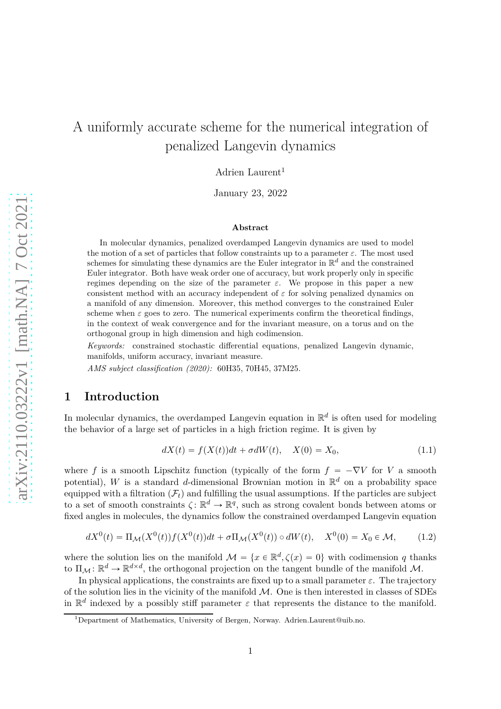# A uniformly accurate scheme for the numerical integration of penalized Langevin dynamics

Adrien Laurent<sup>1</sup>

January 23, 2022

#### **Abstract**

In molecular dynamics, penalized overdamped Langevin dynamics are used to model the motion of a set of particles that follow constraints up to a parameter *ε*. The most used schemes for simulating these dynamics are the Euler integrator in R *<sup>d</sup>* and the constrained Euler integrator. Both have weak order one of accuracy, but work properly only in specific regimes depending on the size of the parameter  $\varepsilon$ . We propose in this paper a new consistent method with an accuracy independent of *ε* for solving penalized dynamics on a manifold of any dimension. Moreover, this method converges to the constrained Euler scheme when  $\varepsilon$  goes to zero. The numerical experiments confirm the theoretical findings, in the context of weak convergence and for the invariant measure, on a torus and on the orthogonal group in high dimension and high codimension.

*Keywords:* constrained stochastic differential equations, penalized Langevin dynamic, manifolds, uniform accuracy, invariant measure.

*AMS subject classification (2020):* 60H35, 70H45, 37M25.

# **1 Introduction**

In molecular dynamics, the overdamped Langevin equation in  $\mathbb{R}^d$  is often used for modeling the behavior of a large set of particles in a high friction regime. It is given by

$$
dX(t) = f(X(t))dt + \sigma dW(t), \quad X(0) = X_0,
$$
\n(1.1)

where *f* is a smooth Lipschitz function (typically of the form  $f = -\nabla V$  for *V* a smooth potential), W is a standard d-dimensional Brownian motion in  $\mathbb{R}^d$  on a probability space equipped with a filtration  $(F_t)$  and fulfilling the usual assumptions. If the particles are subject to a set of smooth constraints  $\zeta: \mathbb{R}^d \to \mathbb{R}^q$ , such as strong covalent bonds between atoms or fixed angles in molecules, the dynamics follow the constrained overdamped Langevin equation

<span id="page-0-0"></span>
$$
dX^{0}(t) = \Pi_{\mathcal{M}}(X^{0}(t))f(X^{0}(t))dt + \sigma\Pi_{\mathcal{M}}(X^{0}(t)) \circ dW(t), \quad X^{0}(0) = X_{0} \in \mathcal{M}, \quad (1.2)
$$

where the solution lies on the manifold  $\mathcal{M} = \{x \in \mathbb{R}^d, \zeta(x) = 0\}$  with codimension *q* thanks to  $\Pi_{\mathcal{M}}: \mathbb{R}^d \to \mathbb{R}^{d \times d}$ , the orthogonal projection on the tangent bundle of the manifold  $\mathcal{M}$ .

In physical applications, the constraints are fixed up to a small parameter  $\varepsilon$ . The trajectory of the solution lies in the vicinity of the manifold  $M$ . One is then interested in classes of SDEs in  $\mathbb{R}^d$  indexed by a possibly stiff parameter  $\varepsilon$  that represents the distance to the manifold.

<sup>&</sup>lt;sup>1</sup>Department of Mathematics, University of Bergen, Norway. Adrien.Laurent@uib.no.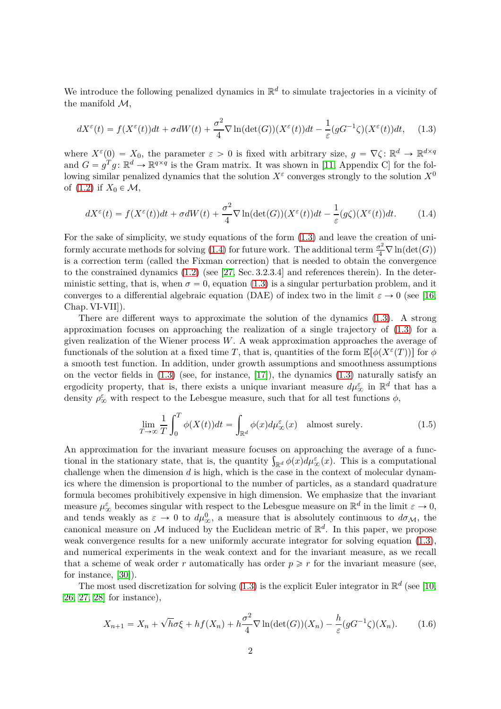We introduce the following penalized dynamics in  $\mathbb{R}^d$  to simulate trajectories in a vicinity of the manifold  $\mathcal{M}$ ,

<span id="page-1-0"></span>
$$
dX^{\varepsilon}(t) = f(X^{\varepsilon}(t))dt + \sigma dW(t) + \frac{\sigma^2}{4}\nabla \ln(\det(G))(X^{\varepsilon}(t))dt - \frac{1}{\varepsilon}(gG^{-1}\zeta)(X^{\varepsilon}(t))dt, \quad (1.3)
$$

where  $X^{\varepsilon}(0) = X_0$ , the parameter  $\varepsilon > 0$  is fixed with arbitrary size,  $g = \nabla \zeta : \mathbb{R}^d \to \mathbb{R}^{d \times q}$ and  $G = g^T g \colon \mathbb{R}^d \to \mathbb{R}^{q \times q}$  is the Gram matrix. It was shown in [\[11,](#page-20-0) Appendix C] for the following similar penalized dynamics that the solution  $X^{\varepsilon}$  converges strongly to the solution  $X^{0}$ of  $(1.2)$  if  $X_0 \in \mathcal{M}$ ,

<span id="page-1-1"></span>
$$
dX^{\varepsilon}(t) = f(X^{\varepsilon}(t))dt + \sigma dW(t) + \frac{\sigma^2}{4}\nabla \ln(\det(G))(X^{\varepsilon}(t))dt - \frac{1}{\varepsilon}(g\zeta)(X^{\varepsilon}(t))dt.
$$
 (1.4)

For the sake of simplicity, we study equations of the form [\(1.3\)](#page-1-0) and leave the creation of uni-formly accurate methods for solving [\(1.4\)](#page-1-1) for future work. The additional term  $\frac{\sigma^2}{4} \nabla \ln(\det(G))$ is a correction term (called the Fixman correction) that is needed to obtain the convergence to the constrained dynamics [\(1.2\)](#page-0-0) (see [\[27,](#page-21-0) Sec. 3.2.3.4] and references therein). In the deterministic setting, that is, when  $\sigma = 0$ , equation [\(1.3\)](#page-1-0) is a singular perturbation problem, and it converges to a differential algebraic equation (DAE) of index two in the limit  $\varepsilon \to 0$  (see [\[16,](#page-20-1) Chap. VI-VII]).

There are different ways to approximate the solution of the dynamics [\(1.3\)](#page-1-0). A strong approximation focuses on approaching the realization of a single trajectory of [\(1.3\)](#page-1-0) for a given realization of the Wiener process *W*. A weak approximation approaches the average of functionals of the solution at a fixed time *T*, that is, quantities of the form  $\mathbb{E}[\phi(X^{\varepsilon}(T))]$  for  $\phi$ a smooth test function. In addition, under growth assumptions and smoothness assumptions on the vector fields in [\(1.3\)](#page-1-0) (see, for instance, [\[17\]](#page-20-2)), the dynamics [\(1.3\)](#page-1-0) naturally satisfy an ergodicity property, that is, there exists a unique invariant measure  $d\mu_{\infty}^{\varepsilon}$  in  $\mathbb{R}^d$  that has a density  $\rho_{\infty}^{\varepsilon}$  with respect to the Lebesgue measure, such that for all test functions  $\phi$ ,

$$
\lim_{T \to \infty} \frac{1}{T} \int_0^T \phi(X(t)) dt = \int_{\mathbb{R}^d} \phi(x) d\mu_{\infty}^{\varepsilon}(x) \quad \text{almost surely.} \tag{1.5}
$$

An approximation for the invariant measure focuses on approaching the average of a functional in the stationary state, that is, the quantity  $\int_{\mathbb{R}^d} \phi(x) d\mu_{\infty}^{\varepsilon}(x)$ . This is a computational challenge when the dimension *d* is high, which is the case in the context of molecular dynamics where the dimension is proportional to the number of particles, as a standard quadrature formula becomes prohibitively expensive in high dimension. We emphasize that the invariant measure  $\mu_{\infty}^{\varepsilon}$  becomes singular with respect to the Lebesgue measure on  $\mathbb{R}^d$  in the limit  $\varepsilon \to 0$ , and tends weakly as  $\varepsilon \to 0$  to  $d\mu_{\infty}^0$ , a measure that is absolutely continuous to  $d\sigma_{\mathcal{M}}$ , the canonical measure on M induced by the Euclidean metric of  $\mathbb{R}^d$ . In this paper, we propose weak convergence results for a new uniformly accurate integrator for solving equation [\(1.3\)](#page-1-0), and numerical experiments in the weak context and for the invariant measure, as we recall that a scheme of weak order *r* automatically has order  $p \geq r$  for the invariant measure (see, for instance, [\[30\]](#page-21-1)).

The most used discretization for solving  $(1.3)$  is the explicit Euler integrator in  $\mathbb{R}^d$  (see [\[10,](#page-20-3) [26,](#page-21-2) [27,](#page-21-0) [28\]](#page-21-3) for instance),

<span id="page-1-2"></span>
$$
X_{n+1} = X_n + \sqrt{h}\sigma\xi + hf(X_n) + h\frac{\sigma^2}{4}\nabla\ln(\det(G))(X_n) - \frac{h}{\varepsilon}(gG^{-1}\zeta)(X_n). \tag{1.6}
$$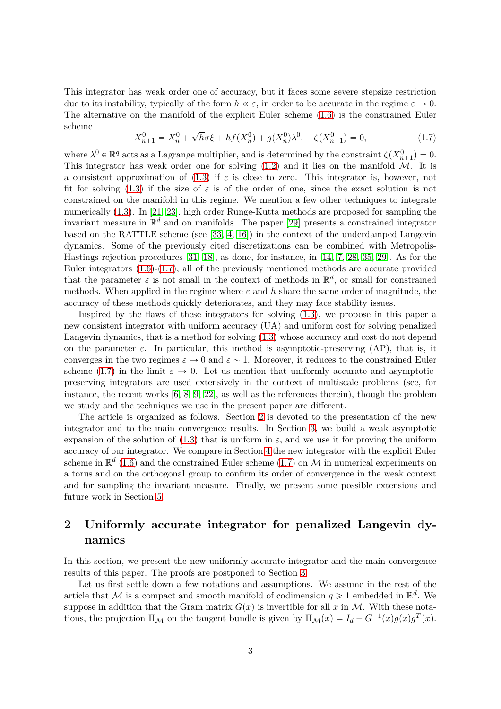This integrator has weak order one of accuracy, but it faces some severe stepsize restriction due to its instability, typically of the form  $h \ll \varepsilon$ , in order to be accurate in the regime  $\varepsilon \to 0$ . The alternative on the manifold of the explicit Euler scheme [\(1.6\)](#page-1-2) is the constrained Euler scheme

<span id="page-2-0"></span>
$$
X_{n+1}^{0} = X_{n}^{0} + \sqrt{h}\sigma\xi + hf(X_{n}^{0}) + g(X_{n}^{0})\lambda^{0}, \quad \zeta(X_{n+1}^{0}) = 0,
$$
\n(1.7)

where  $\lambda^0 \in \mathbb{R}^q$  acts as a Lagrange multiplier, and is determined by the constraint  $\zeta(X_{n+1}^0) = 0$ . This integrator has weak order one for solving  $(1.2)$  and it lies on the manifold M. It is a consistent approximation of  $(1.3)$  if  $\varepsilon$  is close to zero. This integrator is, however, not fit for solving [\(1.3\)](#page-1-0) if the size of  $\varepsilon$  is of the order of one, since the exact solution is not constrained on the manifold in this regime. We mention a few other techniques to integrate numerically [\(1.3\)](#page-1-0). In [\[21,](#page-20-4) [23\]](#page-20-5), high order Runge-Kutta methods are proposed for sampling the invariant measure in  $\mathbb{R}^d$  and on manifolds. The paper [\[29\]](#page-21-4) presents a constrained integrator based on the RATTLE scheme (see [\[33,](#page-21-5) [4,](#page-19-0) [16\]](#page-20-1)) in the context of the underdamped Langevin dynamics. Some of the previously cited discretizations can be combined with Metropolis-Hastings rejection procedures [\[31,](#page-21-6) [18\]](#page-20-6), as done, for instance, in [\[14,](#page-20-7) [7,](#page-19-1) [28,](#page-21-3) [35,](#page-21-7) [29\]](#page-21-4). As for the Euler integrators  $(1.6)-(1.7)$  $(1.6)-(1.7)$ , all of the previously mentioned methods are accurate provided that the parameter  $\varepsilon$  is not small in the context of methods in  $\mathbb{R}^d$ , or small for constrained methods. When applied in the regime where  $\varepsilon$  and h share the same order of magnitude, the accuracy of these methods quickly deteriorates, and they may face stability issues.

Inspired by the flaws of these integrators for solving [\(1.3\)](#page-1-0), we propose in this paper a new consistent integrator with uniform accuracy (UA) and uniform cost for solving penalized Langevin dynamics, that is a method for solving [\(1.3\)](#page-1-0) whose accuracy and cost do not depend on the parameter  $\varepsilon$ . In particular, this method is asymptotic-preserving (AP), that is, it converges in the two regimes  $\varepsilon \to 0$  and  $\varepsilon \sim 1$ . Moreover, it reduces to the constrained Euler scheme [\(1.7\)](#page-2-0) in the limit  $\varepsilon \to 0$ . Let us mention that uniformly accurate and asymptoticpreserving integrators are used extensively in the context of multiscale problems (see, for instance, the recent works [\[6,](#page-19-2) [8,](#page-19-3) [9,](#page-19-4) [22\]](#page-20-8), as well as the references therein), though the problem we study and the techniques we use in the present paper are different.

The article is organized as follows. Section [2](#page-2-1) is devoted to the presentation of the new integrator and to the main convergence results. In Section [3,](#page-7-0) we build a weak asymptotic expansion of the solution of [\(1.3\)](#page-1-0) that is uniform in  $\varepsilon$ , and we use it for proving the uniform accuracy of our integrator. We compare in Section [4](#page-16-0) the new integrator with the explicit Euler scheme in  $\mathbb{R}^d$  [\(1.6\)](#page-1-2) and the constrained Euler scheme [\(1.7\)](#page-2-0) on M in numerical experiments on a torus and on the orthogonal group to confirm its order of convergence in the weak context and for sampling the invariant measure. Finally, we present some possible extensions and future work in Section [5.](#page-18-0)

# <span id="page-2-1"></span>**2 Uniformly accurate integrator for penalized Langevin dynamics**

In this section, we present the new uniformly accurate integrator and the main convergence results of this paper. The proofs are postponed to Section [3.](#page-7-0)

Let us first settle down a few notations and assumptions. We assume in the rest of the article that M is a compact and smooth manifold of codimension  $q \geq 1$  embedded in  $\mathbb{R}^d$ . We suppose in addition that the Gram matrix  $G(x)$  is invertible for all x in M. With these notations, the projection  $\Pi_{\mathcal{M}}$  on the tangent bundle is given by  $\Pi_{\mathcal{M}}(x) = I_d - G^{-1}(x)g(x)g^T(x)$ .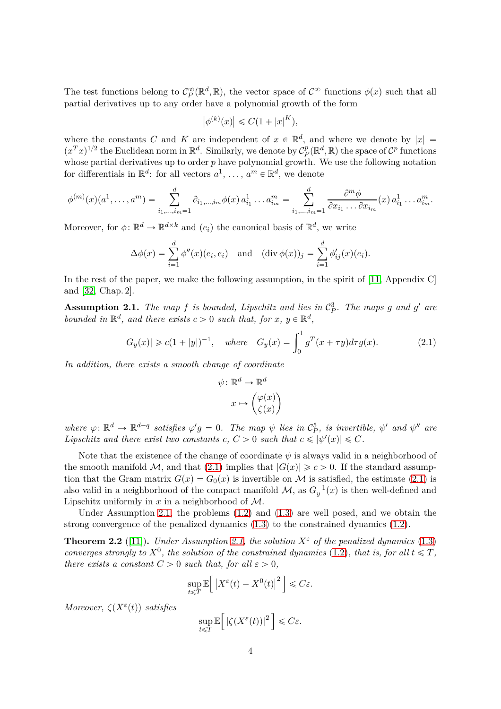The test functions belong to  $C_P^{\infty}(\mathbb{R}^d, \mathbb{R})$ , the vector space of  $C^{\infty}$  functions  $\phi(x)$  such that all partial derivatives up to any order have a polynomial growth of the form

$$
\left|\phi^{(k)}(x)\right| \leqslant C(1+|x|^K),
$$

where the constants *C* and *K* are independent of  $x \in \mathbb{R}^d$ , and where we denote by  $|x| =$  $(x^T x)^{1/2}$  the Euclidean norm in  $\mathbb{R}^d$ . Similarly, we denote by  $\mathcal{C}_P^p$  $P_P^p(\mathbb{R}^d, \mathbb{R})$  the space of  $\mathcal{C}^p$  functions whose partial derivatives up to order *p* have polynomial growth. We use the following notation for differentials in  $\mathbb{R}^d$ : for all vectors  $a^1, \ldots, a^m \in \mathbb{R}^d$ , we denote

$$
\phi^{(m)}(x)(a^1, \ldots, a^m) = \sum_{i_1, \ldots, i_m=1}^d \partial_{i_1, \ldots, i_m} \phi(x) a^1_{i_1} \ldots a^m_{i_m} = \sum_{i_1, \ldots, i_m=1}^d \frac{\partial^m \phi}{\partial x_{i_1} \ldots \partial x_{i_m}} (x) a^1_{i_1} \ldots a^m_{i_m}.
$$

Moreover, for  $\phi: \mathbb{R}^d \to \mathbb{R}^{d \times k}$  and  $(e_i)$  the canonical basis of  $\mathbb{R}^d$ , we write

$$
\Delta \phi(x) = \sum_{i=1}^d \phi''(x)(e_i, e_i) \quad \text{and} \quad (\text{div }\phi(x))_j = \sum_{i=1}^d \phi'_{ij}(x)(e_i).
$$

In the rest of the paper, we make the following assumption, in the spirit of [\[11,](#page-20-0) Appendix C] and [\[32,](#page-21-8) Chap. 2].

<span id="page-3-1"></span>**Assumption 2.1.** The map f is bounded, Lipschitz and lies in  $C_P^3$  $P^3$ *P*. The maps g and g' are *bounded in*  $\mathbb{R}^d$ *, and there exists*  $c > 0$  *such that, for*  $x, y \in \mathbb{R}^d$ *,* 

<span id="page-3-0"></span>
$$
|G_y(x)| \ge c(1+|y|)^{-1}
$$
, where  $G_y(x) = \int_0^1 g^T(x+\tau y)d\tau g(x)$ . (2.1)

*In addition, there exists a smooth change of coordinate*

$$
\psi \colon \mathbb{R}^d \to \mathbb{R}^d
$$

$$
x \mapsto \begin{pmatrix} \varphi(x) \\ \zeta(x) \end{pmatrix}
$$

*where*  $\varphi: \mathbb{R}^d \to \mathbb{R}^{d-q}$  *satisfies*  $\varphi'g = 0$ . The map  $\psi$  lies in  $\mathcal{C}_P^5$  $\frac{5}{P}$ *, is invertible,*  $\psi'$  *and*  $\psi''$  *are Lipschitz and there exist two constants*  $c, C > 0$  *such that*  $c \le |\psi'(x)| \le C$ *.* 

Note that the existence of the change of coordinate  $\psi$  is always valid in a neighborhood of the smooth manifold M, and that [\(2.1\)](#page-3-0) implies that  $|G(x)| \geq c > 0$ . If the standard assumption that the Gram matrix  $G(x) = G_0(x)$  is invertible on M is satisfied, the estimate [\(2.1\)](#page-3-0) is also valid in a neighborhood of the compact manifold  $\mathcal{M}$ , as  $G_y^{-1}(x)$  is then well-defined and Lipschitz uniformly in *x* in a neighborhood of M.

Under Assumption [2.1,](#page-3-1) the problems [\(1.2\)](#page-0-0) and [\(1.3\)](#page-1-0) are well posed, and we obtain the strong convergence of the penalized dynamics  $(1.3)$  to the constrained dynamics  $(1.2)$ .

<span id="page-3-2"></span>**Theorem 2.2** ([\[11\]](#page-20-0)). *Under Assumption* [2.1,](#page-3-1) the solution  $X^{\varepsilon}$  of the penalized dynamics [\(1.3\)](#page-1-0) *converges strongly to*  $X^0$ *, the solution of the constrained dynamics* [\(1.2\)](#page-0-0)*, that is, for all*  $t \leq T$ *, there exists a constant*  $C > 0$  *such that, for all*  $\varepsilon > 0$ *,* 

$$
\sup_{t \leq T} \mathbb{E} \Big[ \left| X^{\varepsilon}(t) - X^{0}(t) \right|^{2} \Big] \leq C \varepsilon.
$$

*Moreover,*  $\zeta(X^{\varepsilon}(t))$  *satisfies* 

$$
\sup_{t\leq T}\mathbb{E}\Big[\left|\zeta(X^{\varepsilon}(t))\right|^{2}\Big]\leqslant C\varepsilon.
$$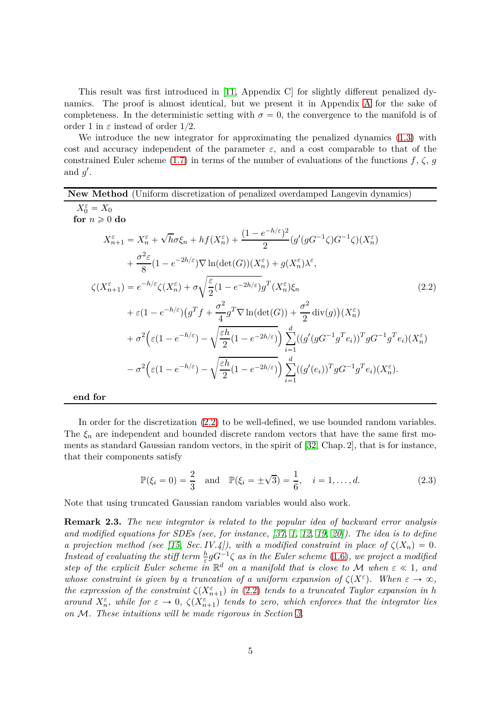This result was first introduced in [\[11,](#page-20-0) Appendix C] for slightly different penalized dynamics. The proof is almost identical, but we present it in Appendix [A](#page-21-9) for the sake of completeness. In the deterministic setting with  $\sigma = 0$ , the convergence to the manifold is of order 1 in  $\varepsilon$  instead of order 1/2.

We introduce the new integrator for approximating the penalized dynamics [\(1.3\)](#page-1-0) with cost and accuracy independent of the parameter  $\varepsilon$ , and a cost comparable to that of the constrained Euler scheme [\(1.7\)](#page-2-0) in terms of the number of evaluations of the functions  $f$ ,  $\zeta$ ,  $g$ and  $g'$ .

**New Method** (Uniform discretization of penalized overdamped Langevin dynamics)  $X_0^{\varepsilon} = X_0$ **for**  $n \geq 0$  **do**  $X_{n+1}^{\varepsilon} = X_n^{\varepsilon} +$  $\sqrt{h}\sigma\xi_n + hf(X_n^{\varepsilon}) + \frac{(1-e^{-h/\varepsilon})^2}{2}$  $\frac{e^{2\pi i/(\epsilon)}f^{2}}{2}(g'(gG^{-1}\zeta)G^{-1}\zeta)(X_{n}^{\epsilon})$  $\overline{+}$ *σ* 2 *ε*  $\frac{d^2\epsilon}{8}(1-e^{-2h/\epsilon})\nabla \ln(\det(G))(X_n^{\epsilon})+g(X_n^{\epsilon})\lambda^{\epsilon},$  $\zeta(X_{n+1}^{\varepsilon}) = e^{-h/\varepsilon} \zeta(X_n^{\varepsilon}) + \sigma$ c *ε*  $\frac{\varepsilon}{2}(1-e^{-2h/\varepsilon})g^T(X_n^\varepsilon)$  $\zeta_n$  (2.2)  $+ \varepsilon (1 - e^{-h/\varepsilon}) (g^T f + \frac{\sigma^2}{4})$  $\frac{\sigma^2}{4} g^T \nabla \ln(\det(G)) + \frac{\sigma^2}{2}$  $\frac{\partial^2}{\partial^2}$  div $(g)(X_n^{\varepsilon})$  $+\sigma^2\Big(\varepsilon(1-e^{-h/\varepsilon})\Big)$ ) –  $\sqrt{\frac{\varepsilon h}{2}}$  $\frac{c h}{2} (1 - e^{-2h/\varepsilon}) \Big) \sum_{i=1}^d$  $\sum_{i=1}$  $((g'(gG^{-1}g^Te_i))^T gG^{-1}g^Te_i)(X_n^{\varepsilon})$  $-\sigma^2\Big(\varepsilon(1-e^{-h/\varepsilon})\Big)$ ) –  $\sqrt{\frac{\varepsilon h}{2}}$  $\frac{e^{i\theta}}{2}(1-e^{-2h/\varepsilon})$  $\bigwedge^d$  $\sum_{i=1}$  $((g'(e_i))^T g G^{-1} g^T e_i)(X_n^{\varepsilon}).$ 

**end for**

In order for the discretization [\(2.2\)](#page-4-0) to be well-defined, we use bounded random variables. The  $\xi_n$  are independent and bounded discrete random vectors that have the same first moments as standard Gaussian random vectors, in the spirit of [\[32,](#page-21-8) Chap. 2], that is for instance, that their components satisfy

<span id="page-4-1"></span><span id="page-4-0"></span>
$$
\mathbb{P}(\xi_i = 0) = \frac{2}{3} \text{ and } \mathbb{P}(\xi_i = \pm \sqrt{3}) = \frac{1}{6}, \quad i = 1, ..., d. \tag{2.3}
$$

Note that using truncated Gaussian random variables would also work.

**Remark 2.3.** *The new integrator is related to the popular idea of backward error analysis and modified equations for SDEs (see, for instance, [\[37,](#page-21-10) [1,](#page-19-5) [12,](#page-20-9) [19,](#page-20-10) [20\]](#page-20-11)). The idea is to define a projection method (see [\[15,](#page-20-12) Sec. IV.4]), with a modified constraint in place of*  $\zeta(X_n) = 0$ . *Instead of evaluating the stiff term*  $\frac{h}{\varepsilon} g G^{-1} \zeta$  *as in the Euler scheme* [\(1.6\)](#page-1-2)*, we project a modified step of the explicit Euler scheme in*  $\mathbb{R}^d$  *on a manifold that is close to* M *when*  $\varepsilon \ll 1$ *, and whose constraint is given by a truncation of a uniform expansion of*  $\zeta(X^{\varepsilon})$ . When  $\varepsilon \to \infty$ , *the expression of the constraint*  $\zeta(X_{n+1}^{\varepsilon})$  *in* [\(2.2\)](#page-4-0) *tends to a truncated Taylor expansion in h around*  $X_n^{\varepsilon}$ , while for  $\varepsilon \to 0$ ,  $\zeta(X_{n+1}^{\varepsilon})$  tends to zero, which enforces that the integrator lies *on* M*. These intuitions will be made rigorous in Section [3.](#page-7-0)*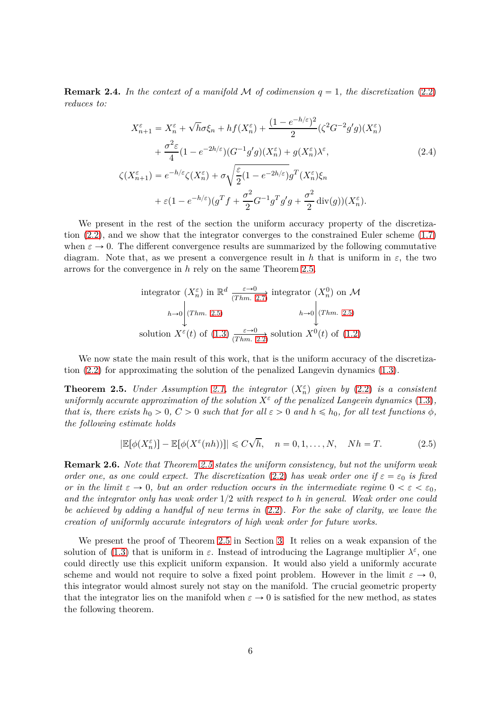**Remark 2.4.** In the context of a manifold M of codimension  $q = 1$ , the discretization [\(2.2\)](#page-4-0) *reduces to:*

<span id="page-5-1"></span>
$$
X_{n+1}^{\varepsilon} = X_n^{\varepsilon} + \sqrt{h}\sigma\xi_n + hf(X_n^{\varepsilon}) + \frac{(1 - e^{-h/\varepsilon})^2}{2} (\zeta^2 G^{-2} g' g)(X_n^{\varepsilon})
$$
  
+ 
$$
\frac{\sigma^2 \varepsilon}{4} (1 - e^{-2h/\varepsilon}) (G^{-1} g' g)(X_n^{\varepsilon}) + g(X_n^{\varepsilon}) \lambda^{\varepsilon},
$$
  

$$
\zeta(X_{n+1}^{\varepsilon}) = e^{-h/\varepsilon} \zeta(X_n^{\varepsilon}) + \sigma \sqrt{\frac{\varepsilon}{2} (1 - e^{-2h/\varepsilon})} g^T(X_n^{\varepsilon}) \xi_n
$$
  
+ 
$$
\varepsilon (1 - e^{-h/\varepsilon}) (g^T f + \frac{\sigma^2}{2} G^{-1} g^T g' g + \frac{\sigma^2}{2} \operatorname{div}(g))(X_n^{\varepsilon}).
$$
 (2.4)

We present in the rest of the section the uniform accuracy property of the discretization [\(2.2\)](#page-4-0), and we show that the integrator converges to the constrained Euler scheme [\(1.7\)](#page-2-0) when  $\varepsilon \to 0$ . The different convergence results are summarized by the following commutative diagram. Note that, as we present a convergence result in h that is uniform in  $\varepsilon$ , the two arrows for the convergence in *h* rely on the same Theorem [2.5.](#page-5-0)

integrator 
$$
(X_n^{\varepsilon})
$$
 in  $\mathbb{R}^d$   $\xrightarrow{\varepsilon \to 0}$  integrator  $(X_n^0)$  on  $\mathcal{M}$   
\n $h \to 0$   $\Big| (Thm. 2.5)$   $h \to 0$   $\Big| (Thm. 2.5)$   
\nsolution  $X^{\varepsilon}(t)$  of (1.3)  $\xrightarrow{\varepsilon \to 0}$  solution  $X^0(t)$  of (1.2)

We now state the main result of this work, that is the uniform accuracy of the discretization [\(2.2\)](#page-4-0) for approximating the solution of the penalized Langevin dynamics [\(1.3\)](#page-1-0).

<span id="page-5-0"></span>**Theorem 2.5.** *Under Assumption [2.1,](#page-3-1) the integrator*  $(X_n^{\varepsilon})$  *given by* [\(2.2\)](#page-4-0) *is a consistent uniformly accurate approximation of the solution*  $X^{\varepsilon}$  *of the penalized Langevin dynamics* [\(1.3\)](#page-1-0), *that is, there exists*  $h_0 > 0$ ,  $C > 0$  *such that for all*  $\varepsilon > 0$  *and*  $h \le h_0$ , *for all test functions*  $\phi$ *, the following estimate holds*

<span id="page-5-2"></span>
$$
|\mathbb{E}[\phi(X_n^{\varepsilon})] - \mathbb{E}[\phi(X^{\varepsilon}(nh))]| \leq C\sqrt{h}, \quad n = 0, 1, ..., N, \quad Nh = T.
$$
 (2.5)

**Remark 2.6.** *Note that Theorem [2.5](#page-5-0) states the uniform consistency, but not the uniform weak order one, as one could expect. The discretization* [\(2.2\)](#page-4-0) has weak order one if  $\varepsilon = \varepsilon_0$  is fixed *or in the limit*  $\varepsilon \to 0$ , but an order reduction occurs in the intermediate regime  $0 < \varepsilon < \varepsilon_0$ , *and the integrator only has weak order* 1{2 *with respect to h in general. Weak order one could be achieved by adding a handful of new terms in* [\(2.2\)](#page-4-0)*. For the sake of clarity, we leave the creation of uniformly accurate integrators of high weak order for future works.*

We present the proof of Theorem [2.5](#page-5-0) in Section [3.](#page-7-0) It relies on a weak expansion of the solution of [\(1.3\)](#page-1-0) that is uniform in  $\varepsilon$ . Instead of introducing the Lagrange multiplier  $\lambda^{\varepsilon}$ , one could directly use this explicit uniform expansion. It would also yield a uniformly accurate scheme and would not require to solve a fixed point problem. However in the limit  $\varepsilon \to 0$ , this integrator would almost surely not stay on the manifold. The crucial geometric property that the integrator lies on the manifold when  $\varepsilon \to 0$  is satisfied for the new method, as states the following theorem.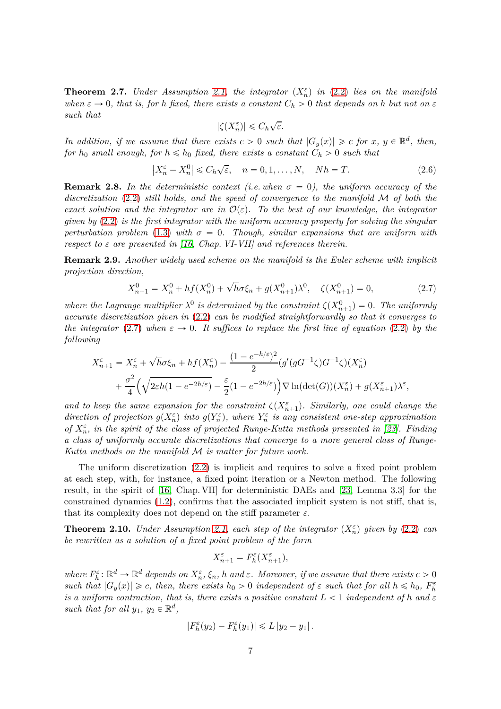<span id="page-6-0"></span>**Theorem 2.7.** *Under Assumption [2.1,](#page-3-1) the integrator*  $(X_n^{\varepsilon})$  *in* [\(2.2\)](#page-4-0) *lies on the manifold when*  $\varepsilon \to 0$ , that is, for *h* fixed, there exists a constant  $C_h > 0$  that depends on *h* but not on  $\varepsilon$ *such that*

$$
|\zeta(X_n^\varepsilon)|\leqslant C_h\sqrt{\varepsilon}.
$$

*In addition, if we assume that there exists*  $c > 0$  *such that*  $|G_y(x)| \geq c$  *for*  $x, y \in \mathbb{R}^d$ , *then, for*  $h_0$  *small enough, for*  $h \leq h_0$  *fixed, there exists a constant*  $C_h > 0$  *such that* 

<span id="page-6-3"></span>
$$
\left|X_n^{\varepsilon} - X_n^0\right| \leq C_h \sqrt{\varepsilon}, \quad n = 0, 1, \dots, N, \quad Nh = T. \tag{2.6}
$$

**Remark 2.8.** In the deterministic context (i.e. when  $\sigma = 0$ ), the uniform accuracy of the *discretization* [\(2.2\)](#page-4-0) *still holds, and the speed of convergence to the manifold* M *of both the exact solution and the integrator are in*  $\mathcal{O}(\varepsilon)$ . To the best of our knowledge, the integrator *given by* [\(2.2\)](#page-4-0) *is the first integrator with the uniform accuracy property for solving the singular perturbation problem* [\(1.3\)](#page-1-0) *with*  $\sigma = 0$ . *Though, similar expansions that are uniform with respect to ε are presented in [\[16,](#page-20-1) Chap. VI-VII] and references therein.*

**Remark 2.9.** *Another widely used scheme on the manifold is the Euler scheme with implicit projection direction,*

<span id="page-6-1"></span>
$$
X_{n+1}^0 = X_n^0 + h f(X_n^0) + \sqrt{h} \sigma \xi_n + g(X_{n+1}^0) \lambda^0, \quad \zeta(X_{n+1}^0) = 0,
$$
\n(2.7)

where the Lagrange multiplier  $\lambda^0$  is determined by the constraint  $\zeta(X_{n+1}^0) = 0$ . The uniformly *accurate discretization given in* [\(2.2\)](#page-4-0) *can be modified straightforwardly so that it converges to the integrator* [\(2.7\)](#page-6-1) when  $\varepsilon \to 0$ . It suffices to replace the first line of equation [\(2.2\)](#page-4-0) by the *following*

$$
X_{n+1}^{\varepsilon} = X_n^{\varepsilon} + \sqrt{h}\sigma \xi_n + h f(X_n^{\varepsilon}) - \frac{(1 - e^{-h/\varepsilon})^2}{2} (g'(gG^{-1}\zeta)G^{-1}\zeta)(X_n^{\varepsilon})
$$
  
+ 
$$
\frac{\sigma^2}{4} \left( \sqrt{2\varepsilon h(1 - e^{-2h/\varepsilon})} - \frac{\varepsilon}{2} (1 - e^{-2h/\varepsilon}) \right) \nabla \ln(\det(G))(X_n^{\varepsilon}) + g(X_{n+1}^{\varepsilon}) \lambda^{\varepsilon},
$$

*and to keep the same expansion for the constraint*  $\zeta(X_{n+1}^{\varepsilon})$ . Similarly, one could change the *direction of projection*  $g(X_n^{\varepsilon})$  *into*  $g(Y_n^{\varepsilon})$ *, where*  $Y_n^{\varepsilon}$  *is any consistent one-step approximation of*  $X_n^{\varepsilon}$ , in the spirit of the class of projected Runge-Kutta methods presented in [\[23\]](#page-20-5). Finding *a class of uniformly accurate discretizations that converge to a more general class of Runge-Kutta methods on the manifold* M *is matter for future work.*

The uniform discretization [\(2.2\)](#page-4-0) is implicit and requires to solve a fixed point problem at each step, with, for instance, a fixed point iteration or a Newton method. The following result, in the spirit of [\[16,](#page-20-1) Chap. VII] for deterministic DAEs and [\[23,](#page-20-5) Lemma 3.3] for the constrained dynamics [\(1.2\)](#page-0-0), confirms that the associated implicit system is not stiff, that is, that its complexity does not depend on the stiff parameter  $\varepsilon$ .

<span id="page-6-2"></span>**Theorem 2.10.** *Under Assumption [2.1,](#page-3-1) each step of the integrator*  $(X_n^{\varepsilon})$  *given by* [\(2.2\)](#page-4-0) *can be rewritten as a solution of a fixed point problem of the form*

$$
X_{n+1}^\varepsilon=F_h^\varepsilon(X_{n+1}^\varepsilon),
$$

where  $F_h^{\varepsilon} \colon \mathbb{R}^d \to \mathbb{R}^d$  depends on  $X_h^{\varepsilon}$ ,  $\xi_h$ , h and  $\varepsilon$ . Moreover, if we assume that there exists  $c > 0$ *such that*  $|G_y(x)| \ge c$ , *then, there exists*  $h_0 > 0$  *independent of*  $\varepsilon$  *such that for all*  $h \le h_0$ ,  $F_h^{\varepsilon}$ *is a uniform contraction, that is, there exists a positive constant*  $L < 1$  *independent of*  $h$  *and*  $\varepsilon$ such that for all  $y_1, y_2 \in \mathbb{R}^d$ ,

$$
|F_h^{\varepsilon}(y_2) - F_h^{\varepsilon}(y_1)| \leq L |y_2 - y_1|.
$$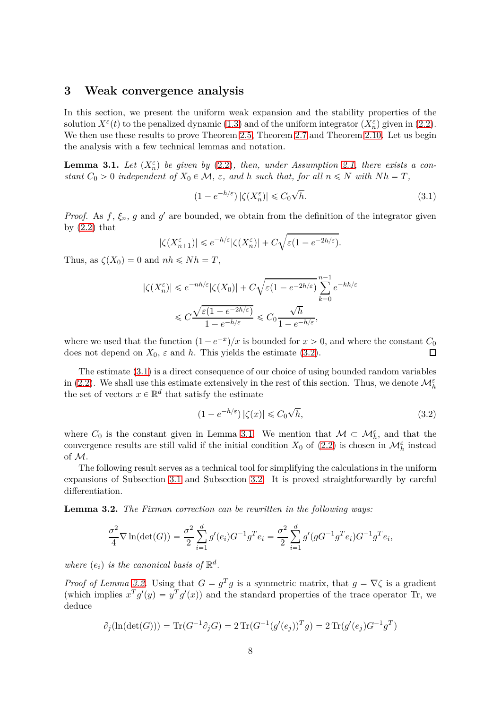#### <span id="page-7-0"></span>**3 Weak convergence analysis**

In this section, we present the uniform weak expansion and the stability properties of the solution  $X^{\varepsilon}(t)$  to the penalized dynamic [\(1.3\)](#page-1-0) and of the uniform integrator  $(X_n^{\varepsilon})$  given in [\(2.2\)](#page-4-0). We then use these results to prove Theorem [2.5,](#page-5-0) Theorem [2.7](#page-6-0) and Theorem [2.10.](#page-6-2) Let us begin the analysis with a few technical lemmas and notation.

<span id="page-7-3"></span>**Lemma 3.1.** *Let*  $(X_n^{\varepsilon})$  *be given by* [\(2.2\)](#page-4-0)*, then, under Assumption [2.1,](#page-3-1) there exists a constant*  $C_0 > 0$  *independent* of  $X_0 \in \mathcal{M}$ ,  $\varepsilon$ , and *h such* that, for all  $n \leq N$  with  $Nh = T$ ,

<span id="page-7-2"></span>
$$
(1 - e^{-h/\varepsilon}) |\zeta(X_n^{\varepsilon})| \leq C_0 \sqrt{h}.
$$
\n(3.1)

*Proof.* As  $f$ ,  $\xi_n$ ,  $g$  and  $g'$  are bounded, we obtain from the definition of the integrator given by  $(2.2)$  that

$$
|\zeta(X_{n+1}^{\varepsilon})|\leqslant e^{-h/\varepsilon}|\zeta(X_{n}^{\varepsilon})|+C\sqrt{\varepsilon(1-e^{-2h/\varepsilon})}.
$$

Thus, as  $\zeta(X_0) = 0$  and  $nh \leq Nh = T$ ,

$$
\begin{split} |\zeta(X_n^\varepsilon)|&\leqslant e^{-nh/\varepsilon}|\zeta(X_0)|+C\sqrt{\varepsilon(1-e^{-2h/\varepsilon})}\sum_{k=0}^{n-1}e^{-kh/\varepsilon}\\ &\leqslant C\frac{\sqrt{\varepsilon(1-e^{-2h/\varepsilon})}}{1-e^{-h/\varepsilon}}\leqslant C_0\frac{\sqrt{h}}{1-e^{-h/\varepsilon}}, \end{split}
$$

where we used that the function  $(1 - e^{-x})/x$  is bounded for  $x > 0$ , and where the constant  $C_0$ does not depend on  $X_0$ ,  $\varepsilon$  and  $h$ . This yields the estimate [\(3.2\)](#page-7-1).

The estimate [\(3.1\)](#page-7-2) is a direct consequence of our choice of using bounded random variables in [\(2.2\)](#page-4-0). We shall use this estimate extensively in the rest of this section. Thus, we denote  $\mathcal{M}_h^{\varepsilon}$ the set of vectors  $x \in \mathbb{R}^d$  that satisfy the estimate

<span id="page-7-1"></span>
$$
(1 - e^{-h/\varepsilon}) |\zeta(x)| \leq C_0 \sqrt{h},\tag{3.2}
$$

where  $C_0$  is the constant given in Lemma [3.1.](#page-7-3) We mention that  $\mathcal{M} \subset \mathcal{M}_h^{\varepsilon}$ , and that the convergence results are still valid if the initial condition  $X_0$  of [\(2.2\)](#page-4-0) is chosen in  $\mathcal{M}_h^{\varepsilon}$  instead of M.

The following result serves as a technical tool for simplifying the calculations in the uniform expansions of Subsection [3.1](#page-8-0) and Subsection [3.2.](#page-12-0) It is proved straightforwardly by careful differentiation.

<span id="page-7-4"></span>**Lemma 3.2.** *The Fixman correction can be rewritten in the following ways:*

$$
\frac{\sigma^2}{4} \nabla \ln(\det(G)) = \frac{\sigma^2}{2} \sum_{i=1}^d g'(e_i) G^{-1} g^T e_i = \frac{\sigma^2}{2} \sum_{i=1}^d g'(g G^{-1} g^T e_i) G^{-1} g^T e_i,
$$

where  $(e_i)$  is the canonical basis of  $\mathbb{R}^d$ .

*Proof of Lemma [3.2.](#page-7-4)* Using that  $G = g^T g$  is a symmetric matrix, that  $g = \nabla \zeta$  is a gradient (which implies  $x^T g'(y) = y^T g'(x)$ ) and the standard properties of the trace operator Tr, we deduce

$$
\partial_j(\ln(\det(G))) = \text{Tr}(G^{-1}\partial_j G) = 2 \text{Tr}(G^{-1}(g'(e_j))^T g) = 2 \text{Tr}(g'(e_j)G^{-1}g^T)
$$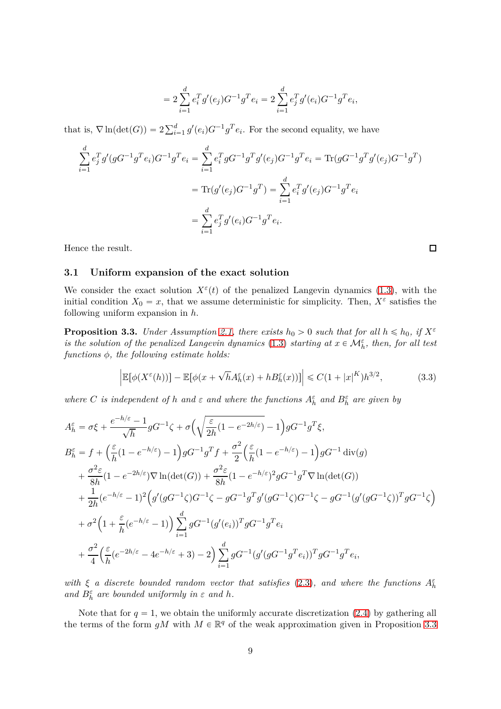$$
=2\sum_{i=1}^{d}e_i^Tg'(e_j)G^{-1}g^Te_i=2\sum_{i=1}^{d}e_j^Tg'(e_i)G^{-1}g^Te_i,
$$

that is,  $\nabla \ln(\det(G)) = 2 \sum_{i=1}^{d} g'(e_i) G^{-1} g^T e_i$ . For the second equality, we have

$$
\sum_{i=1}^{d} e_j^T g'(gG^{-1}g^T e_i) G^{-1} g^T e_i = \sum_{i=1}^{d} e_i^T g G^{-1} g^T g'(e_j) G^{-1} g^T e_i = \text{Tr}(gG^{-1}g^T g'(e_j)G^{-1} g^T)
$$

$$
= \text{Tr}(g'(e_j)G^{-1}g^T) = \sum_{i=1}^{d} e_i^T g'(e_j)G^{-1} g^T e_i
$$

$$
= \sum_{i=1}^{d} e_j^T g'(e_i)G^{-1} g^T e_i.
$$

<span id="page-8-0"></span>Hence the result.

#### **3.1 Uniform expansion of the exact solution**

We consider the exact solution  $X^{\varepsilon}(t)$  of the penalized Langevin dynamics [\(1.3\)](#page-1-0), with the initial condition  $X_0 = x$ , that we assume deterministic for simplicity. Then,  $X^{\varepsilon}$  satisfies the following uniform expansion in *h*.

<span id="page-8-1"></span>**Proposition 3.3.** *Under Assumption [2.1,](#page-3-1) there exists*  $h_0 > 0$  *such that for all*  $h \leq h_0$ *, if*  $X^{\varepsilon}$ *is the solution of the penalized Langevin dynamics* [\(1.3\)](#page-1-0) *starting at*  $x \in \mathcal{M}_h^{\varepsilon}$ , *then, for all test functions φ, the following estimate holds:*

<span id="page-8-2"></span>
$$
\left| \mathbb{E}[\phi(X^{\varepsilon}(h))] - \mathbb{E}[\phi(x + \sqrt{h}A_h^{\varepsilon}(x) + hB_h^{\varepsilon}(x))] \right| \leq C(1 + |x|^K)h^{3/2},\tag{3.3}
$$

*where C is independent of h and*  $\varepsilon$  *and where the functions*  $A_h^{\varepsilon}$  *and*  $B_h^{\varepsilon}$  *are given by* 

$$
A_h^{\varepsilon} = \sigma \xi + \frac{e^{-h/\varepsilon} - 1}{\sqrt{h}} g G^{-1} \zeta + \sigma \left( \sqrt{\frac{\varepsilon}{2h} (1 - e^{-2h/\varepsilon})} - 1 \right) g G^{-1} g^T \xi,
$$
  
\n
$$
B_h^{\varepsilon} = f + \left( \frac{\varepsilon}{h} (1 - e^{-h/\varepsilon}) - 1 \right) g G^{-1} g^T f + \frac{\sigma^2}{2} \left( \frac{\varepsilon}{h} (1 - e^{-h/\varepsilon}) - 1 \right) g G^{-1} \operatorname{div}(g)
$$
  
\n
$$
+ \frac{\sigma^2 \varepsilon}{8h} (1 - e^{-2h/\varepsilon}) \nabla \ln(\det(G)) + \frac{\sigma^2 \varepsilon}{8h} (1 - e^{-h/\varepsilon})^2 g G^{-1} g^T \nabla \ln(\det(G))
$$
  
\n
$$
+ \frac{1}{2h} (e^{-h/\varepsilon} - 1)^2 \left( g'(g G^{-1} \zeta) G^{-1} \zeta - g G^{-1} g^T g'(g G^{-1} \zeta) G^{-1} \zeta - g G^{-1} (g'(g G^{-1} \zeta))^T g G^{-1} \zeta \right)
$$
  
\n
$$
+ \sigma^2 \left( 1 + \frac{\varepsilon}{h} (e^{-h/\varepsilon} - 1) \right) \sum_{i=1}^d g G^{-1} (g'(e_i))^T g G^{-1} g^T e_i
$$
  
\n
$$
+ \frac{\sigma^2}{4} \left( \frac{\varepsilon}{h} (e^{-2h/\varepsilon} - 4e^{-h/\varepsilon} + 3) - 2 \right) \sum_{i=1}^d g G^{-1} (g'(g G^{-1} g^T e_i))^T g G^{-1} g^T e_i,
$$

*with*  $\xi$  *a* discrete bounded random vector that satisfies [\(2.3\)](#page-4-1), and where the functions  $A_h^{\varepsilon}$ *and*  $B_h^{\varepsilon}$  *are bounded uniformly in*  $\varepsilon$  *and*  $h$ *.* 

Note that for  $q = 1$ , we obtain the uniformly accurate discretization [\(2.4\)](#page-5-1) by gathering all the terms of the form  $gM$  with  $M \in \mathbb{R}^q$  of the weak approximation given in Proposition [3.3](#page-8-1)

 $\Box$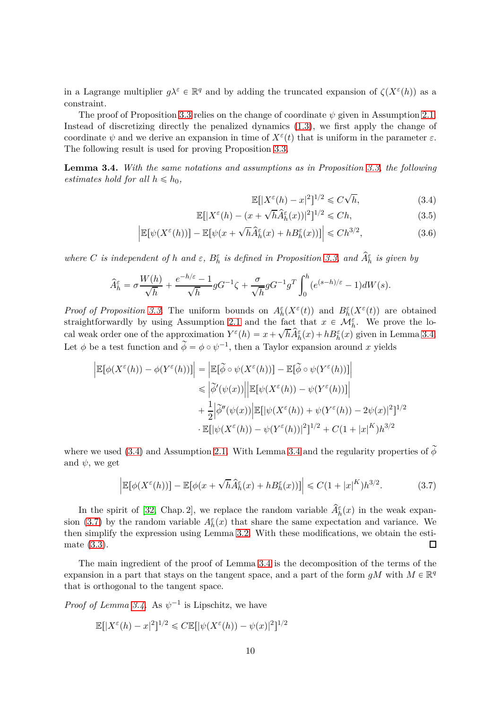in a Lagrange multiplier  $g\lambda^{\varepsilon} \in \mathbb{R}^q$  and by adding the truncated expansion of  $\zeta(X^{\varepsilon}(h))$  as a constraint.

The proof of Proposition [3.3](#page-8-1) relies on the change of coordinate  $\psi$  given in Assumption [2.1.](#page-3-1) Instead of discretizing directly the penalized dynamics [\(1.3\)](#page-1-0), we first apply the change of coordinate  $\psi$  and we derive an expansion in time of  $X^{\varepsilon}(t)$  that is uniform in the parameter  $\varepsilon$ . The following result is used for proving Proposition [3.3.](#page-8-1)

<span id="page-9-0"></span>**Lemma 3.4.** *With the same notations and assumptions as in Proposition [3.3,](#page-8-1) the following estimates hold for all*  $h \leq h_0$ ,

<span id="page-9-4"></span><span id="page-9-3"></span><span id="page-9-1"></span>
$$
\mathbb{E}[|X^{\varepsilon}(h) - x|^2]^{1/2} \leq C\sqrt{h},\tag{3.4}
$$

$$
\mathbb{E}[|X^{\varepsilon}(h) - (x + \sqrt{h}\hat{A}_h^{\varepsilon}(x))|^2]^{1/2} \leq C h,
$$
\n(3.5)

$$
\left| \mathbb{E}[\psi(X^{\varepsilon}(h))] - \mathbb{E}[\psi(x + \sqrt{h}\hat{A}_h^{\varepsilon}(x) + hB_h^{\varepsilon}(x))] \right| \leq C h^{3/2},\tag{3.6}
$$

*where C is independent of h and*  $\varepsilon$ ,  $B_h^{\varepsilon}$  *is defined in Proposition [3.3,](#page-8-1) and*  $\hat{A}_h^{\varepsilon}$  *is given by* 

$$
\widehat{A}_{h}^{\varepsilon} = \sigma \frac{W(h)}{\sqrt{h}} + \frac{e^{-h/\varepsilon} - 1}{\sqrt{h}} g G^{-1} \zeta + \frac{\sigma}{\sqrt{h}} g G^{-1} g^T \int_0^h (e^{(s-h)/\varepsilon} - 1) dW(s).
$$

*Proof of Proposition* [3.3.](#page-8-1) The uniform bounds on  $A_h^{\varepsilon}(X^{\varepsilon}(t))$  and  $B_h^{\varepsilon}(X^{\varepsilon}(t))$  are obtained straightforwardly by using Assumption [2.1](#page-3-1) and the fact that  $x \in \mathcal{M}_{h}^{\varepsilon}$ . We prove the local weak order one of the approximation  $Y^{\varepsilon}(h) = x + \sqrt{h}\widehat{A}^{\varepsilon}_h(x) + hB^{\varepsilon}_h(x)$  given in Lemma [3.4.](#page-9-0) Let  $\phi$  be a test function and  $\tilde{\phi} = \phi \circ \psi^{-1}$ , then a Taylor expansion around *x* yields

$$
\begin{aligned} \left| \mathbb{E}[\phi(X^{\varepsilon}(h))-\phi(Y^{\varepsilon}(h))] \right| &= \left| \mathbb{E}[\widetilde{\phi}\circ\psi(X^{\varepsilon}(h))] - \mathbb{E}[\widetilde{\phi}\circ\psi(Y^{\varepsilon}(h))] \right| \\ &\leqslant \left| \widetilde{\phi}'(\psi(x)) \right| \left| \mathbb{E}[\psi(X^{\varepsilon}(h))-\psi(Y^{\varepsilon}(h))] \right| \\ &+ \frac{1}{2} \left| \widetilde{\phi}''(\psi(x)) \right| \mathbb{E}[\psi(X^{\varepsilon}(h)) + \psi(Y^{\varepsilon}(h)) - 2\psi(x)|^{2}]^{1/2} \\ &\cdot \mathbb{E}[\psi(X^{\varepsilon}(h)) - \psi(Y^{\varepsilon}(h))]^{2}]^{1/2} + C(1+|x|^{K})h^{3/2} \end{aligned}
$$

where we used [\(3.4\)](#page-9-1) and Assumption [2.1.](#page-3-1) With Lemma [3.4](#page-9-0) and the regularity properties of  $\widetilde{\phi}$ and  $\psi$ , we get

<span id="page-9-2"></span>
$$
\left| \mathbb{E}[\phi(X^{\varepsilon}(h))] - \mathbb{E}[\phi(x + \sqrt{h}\hat{A}_h^{\varepsilon}(x) + hB_h^{\varepsilon}(x))] \right| \leq C(1+|x|^K)h^{3/2}.
$$
 (3.7)

In the spirit of [\[32,](#page-21-8) Chap. 2], we replace the random variable  $\hat{A}_{h}^{\varepsilon}(x)$  in the weak expan-sion [\(3.7\)](#page-9-2) by the random variable  $A_h^{\varepsilon}(x)$  that share the same expectation and variance. We then simplify the expression using Lemma [3.2.](#page-7-4) With these modifications, we obtain the estimate [\(3.3\)](#page-8-2). 口

The main ingredient of the proof of Lemma [3.4](#page-9-0) is the decomposition of the terms of the expansion in a part that stays on the tangent space, and a part of the form  $gM$  with  $M \in \mathbb{R}^q$ that is orthogonal to the tangent space.

*Proof of Lemma* [3.4.](#page-9-0) As  $\psi^{-1}$  is Lipschitz, we have

$$
\mathbb{E}[|X^{\varepsilon}(h) - x|^2]^{1/2} \leq C \mathbb{E}[|\psi(X^{\varepsilon}(h)) - \psi(x)|^2]^{1/2}
$$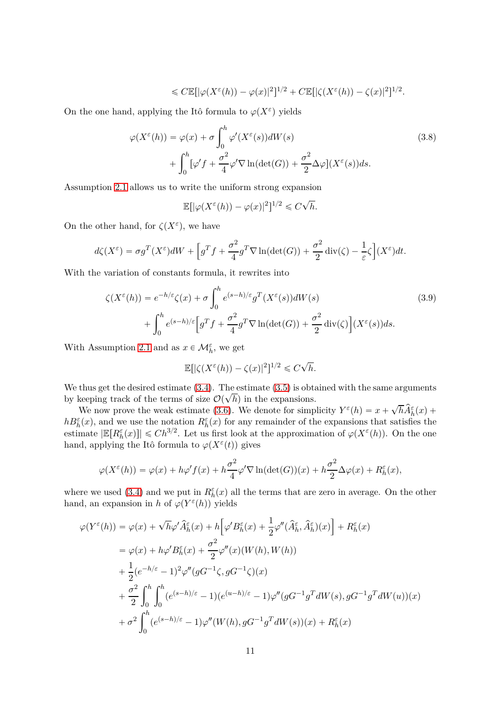$$
\leqslant C \mathbb{E}[|\varphi(X^{\varepsilon}(h)) - \varphi(x)|^{2}]^{1/2} + C \mathbb{E}[|\zeta(X^{\varepsilon}(h)) - \zeta(x)|^{2}]^{1/2}.
$$

On the one hand, applying the Itô formula to  $\varphi(X^{\varepsilon})$  yields

$$
\varphi(X^{\varepsilon}(h)) = \varphi(x) + \sigma \int_0^h \varphi'(X^{\varepsilon}(s))dW(s)
$$
  
+ 
$$
\int_0^h [\varphi' f + \frac{\sigma^2}{4} \varphi' \nabla \ln(\det(G)) + \frac{\sigma^2}{2} \Delta \varphi](X^{\varepsilon}(s))ds.
$$
 (3.8)

Assumption [2.1](#page-3-1) allows us to write the uniform strong expansion

<span id="page-10-0"></span>
$$
\mathbb{E}[|\varphi(X^{\varepsilon}(h)) - \varphi(x)|^2]^{1/2} \leq C\sqrt{h}.
$$

On the other hand, for  $\zeta(X^{\varepsilon})$ , we have

$$
d\zeta(X^{\varepsilon}) = \sigma g^T(X^{\varepsilon})dW + \left[g^T f + \frac{\sigma^2}{4} g^T \nabla \ln(\det(G)) + \frac{\sigma^2}{2} \operatorname{div}(\zeta) - \frac{1}{\varepsilon} \zeta\right](X^{\varepsilon})dt.
$$

With the variation of constants formula, it rewrites into

$$
\zeta(X^{\varepsilon}(h)) = e^{-h/\varepsilon}\zeta(x) + \sigma \int_0^h e^{(s-h)/\varepsilon} g^T(X^{\varepsilon}(s))dW(s)
$$
  
+ 
$$
\int_0^h e^{(s-h)/\varepsilon} \Big[ g^T f + \frac{\sigma^2}{4} g^T \nabla \ln(\det(G)) + \frac{\sigma^2}{2} \operatorname{div}(\zeta) \Big] (X^{\varepsilon}(s)) ds.
$$
 (3.9)

With Assumption [2.1](#page-3-1) and as  $x \in \mathcal{M}_h^{\varepsilon}$ , we get

<span id="page-10-1"></span>
$$
\mathbb{E}[|\zeta(X^{\varepsilon}(h)) - \zeta(x)|^2]^{1/2} \leq C\sqrt{h}.
$$

We thus get the desired estimate  $(3.4)$ . The estimate  $(3.5)$  is obtained with the same arguments by keeping track of the terms of size  $\mathcal{O}(\sqrt{h})$  in the expansions.

We now prove the weak estimate [\(3.6\)](#page-9-4). We denote for simplicity  $Y^{\varepsilon}(h) = x + \sqrt{h}\hat{A}_h^{\varepsilon}(x) +$  $hB_h^{\varepsilon}(x)$ , and we use the notation  $R_h^{\varepsilon}(x)$  for any remainder of the expansions that satisfies the estimate  $|\mathbb{E}[R_h^{\varepsilon}(x)]| \leq C h^{3/2}$ . Let us first look at the approximation of  $\varphi(X^{\varepsilon}(h))$ . On the one hand, applying the Itô formula to  $\varphi(X^{\varepsilon}(t))$  gives

$$
\varphi(X^{\varepsilon}(h)) = \varphi(x) + h\varphi'f(x) + h\frac{\sigma^2}{4}\varphi' \nabla \ln(\det(G))(x) + h\frac{\sigma^2}{2}\Delta\varphi(x) + R_h^{\varepsilon}(x),
$$

where we used [\(3.4\)](#page-9-1) and we put in  $R_h^{\varepsilon}(x)$  all the terms that are zero in average. On the other hand, an expansion in *h* of  $\varphi(Y^{\varepsilon}(h))$  yields

$$
\varphi(Y^{\varepsilon}(h)) = \varphi(x) + \sqrt{h}\varphi' \widehat{A}_{h}^{\varepsilon}(x) + h \Big[\varphi' B_{h}^{\varepsilon}(x) + \frac{1}{2}\varphi''(\widehat{A}_{h}^{\varepsilon}, \widehat{A}_{h}^{\varepsilon})(x)\Big] + R_{h}^{\varepsilon}(x)
$$
  
\n
$$
= \varphi(x) + h\varphi' B_{h}^{\varepsilon}(x) + \frac{\sigma^{2}}{2}\varphi''(x)(W(h), W(h))
$$
  
\n
$$
+ \frac{1}{2}(e^{-h/\varepsilon} - 1)^{2}\varphi''(gG^{-1}\zeta, gG^{-1}\zeta)(x)
$$
  
\n
$$
+ \frac{\sigma^{2}}{2}\int_{0}^{h} \int_{0}^{h} (e^{(s-h)/\varepsilon} - 1)(e^{(u-h)/\varepsilon} - 1)\varphi''(gG^{-1}g^{T}dW(s), gG^{-1}g^{T}dW(u))(x)
$$
  
\n
$$
+ \sigma^{2}\int_{0}^{h} (e^{(s-h)/\varepsilon} - 1)\varphi''(W(h), gG^{-1}g^{T}dW(s))(x) + R_{h}^{\varepsilon}(x)
$$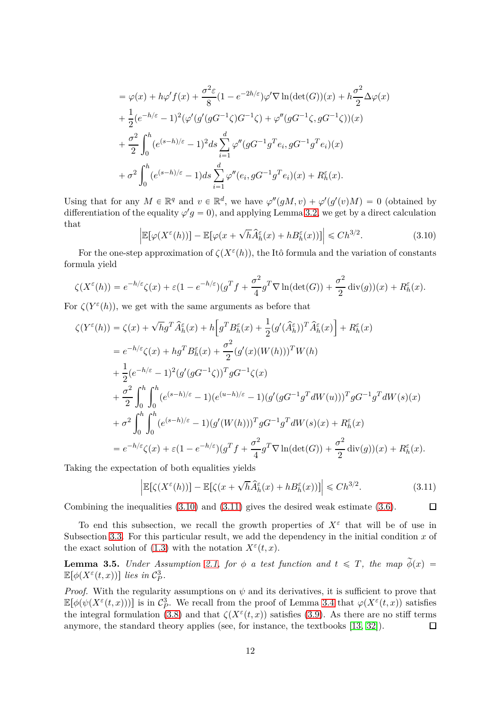$$
= \varphi(x) + h\varphi' f(x) + \frac{\sigma^2 \varepsilon}{8} (1 - e^{-2h/\varepsilon}) \varphi' \nabla \ln(\det(G))(x) + h \frac{\sigma^2}{2} \Delta \varphi(x)
$$
  
+ 
$$
\frac{1}{2} (e^{-h/\varepsilon} - 1)^2 (\varphi'(g'(gG^{-1}\zeta)G^{-1}\zeta) + \varphi''(gG^{-1}\zeta, gG^{-1}\zeta))(x)
$$
  
+ 
$$
\frac{\sigma^2}{2} \int_0^h (e^{(s-h)/\varepsilon} - 1)^2 ds \sum_{i=1}^d \varphi''(gG^{-1}g^T e_i, gG^{-1}g^T e_i)(x)
$$
  
+ 
$$
\sigma^2 \int_0^h (e^{(s-h)/\varepsilon} - 1) ds \sum_{i=1}^d \varphi''(e_i, gG^{-1}g^T e_i)(x) + R_h^{\varepsilon}(x).
$$

Using that for any  $M \in \mathbb{R}^q$  and  $v \in \mathbb{R}^d$ , we have  $\varphi''(gM, v) + \varphi'(g'(v)M) = 0$  (obtained by differentiation of the equality  $\varphi' g = 0$ , and applying Lemma [3.2,](#page-7-4) we get by a direct calculation that  $\overline{a}$ 

<span id="page-11-0"></span>
$$
\left| \mathbb{E}[\varphi(X^{\varepsilon}(h))] - \mathbb{E}[\varphi(x + \sqrt{h}\hat{A}^{\varepsilon}_h(x) + hB^{\varepsilon}_h(x))] \right| \leq C h^{3/2}.
$$
 (3.10)

For the one-step approximation of  $\zeta(X^{\varepsilon}(h))$ , the Itô formula and the variation of constants formula yield

$$
\zeta(X^{\varepsilon}(h)) = e^{-h/\varepsilon}\zeta(x) + \varepsilon(1 - e^{-h/\varepsilon})(g^Tf + \frac{\sigma^2}{4}g^T\nabla \ln(\det(G)) + \frac{\sigma^2}{2}\operatorname{div}(g))(x) + R_h^{\varepsilon}(x).
$$

For  $\zeta(Y^{\varepsilon}(h))$ , we get with the same arguments as before that

$$
\zeta(Y^{\varepsilon}(h)) = \zeta(x) + \sqrt{h}g^{T}\hat{A}_{h}^{\varepsilon}(x) + h\left[g^{T}B_{h}^{\varepsilon}(x) + \frac{1}{2}(g'(\hat{A}_{h}^{\varepsilon}))^{T}\hat{A}_{h}^{\varepsilon}(x)\right] + R_{h}^{\varepsilon}(x)
$$
  
\n
$$
= e^{-h/\varepsilon}\zeta(x) + hg^{T}B_{h}^{\varepsilon}(x) + \frac{\sigma^{2}}{2}(g'(x)(W(h)))^{T}W(h)
$$
  
\n
$$
+ \frac{1}{2}(e^{-h/\varepsilon} - 1)^{2}(g'(gG^{-1}\zeta))^{T}gG^{-1}\zeta(x)
$$
  
\n
$$
+ \frac{\sigma^{2}}{2}\int_{0}^{h}\int_{0}^{h}(e^{(s-h)/\varepsilon} - 1)(e^{(u-h)/\varepsilon} - 1)(g'(gG^{-1}g^{T}dW(u)))^{T}gG^{-1}g^{T}dW(s)(x)
$$
  
\n
$$
+ \sigma^{2}\int_{0}^{h}\int_{0}^{h}(e^{(s-h)/\varepsilon} - 1)(g'(W(h)))^{T}gG^{-1}g^{T}dW(s)(x) + R_{h}^{\varepsilon}(x)
$$
  
\n
$$
= e^{-h/\varepsilon}\zeta(x) + \varepsilon(1 - e^{-h/\varepsilon})(g^{T}f + \frac{\sigma^{2}}{4}g^{T}\nabla\ln(\det(G)) + \frac{\sigma^{2}}{2}\operatorname{div}(g))(x) + R_{h}^{\varepsilon}(x).
$$

Taking the expectation of both equalities yields

<span id="page-11-1"></span>
$$
\left| \mathbb{E}[\zeta(X^{\varepsilon}(h))] - \mathbb{E}[\zeta(x + \sqrt{h}\hat{A}_h^{\varepsilon}(x) + hB_h^{\varepsilon}(x))] \right| \leq C h^{3/2}.
$$
 (3.11)

 $\Box$ 

Combining the inequalities [\(3.10\)](#page-11-0) and [\(3.11\)](#page-11-1) gives the desired weak estimate [\(3.6\)](#page-9-4).

To end this subsection, we recall the growth properties of  $X^{\varepsilon}$  that will be of use in Subsection [3.3.](#page-15-0) For this particular result, we add the dependency in the initial condition *x* of the exact solution of [\(1.3\)](#page-1-0) with the notation  $X^{\varepsilon}(t, x)$ .

<span id="page-11-2"></span>**Lemma 3.5.** *Under Assumption [2.1,](#page-3-1) for*  $\phi$  *a test function and*  $t \leq T$ *, the map*  $\widetilde{\phi}(x)$  =  $\mathbb{E}[\phi(X^{\varepsilon}(t,x))]$  *lies in*  $\mathcal{C}_{P}^{3}$ *P .*

*Proof.* With the regularity assumptions on  $\psi$  and its derivatives, it is sufficient to prove that  $\mathbb{E}[\phi(\psi(X^{\varepsilon}(t,x)))]$  is in  $\mathcal{C}_{P}^{3}$ *P*. We recall from the proof of Lemma [3.4](#page-9-0) that  $\varphi(X^{\varepsilon}(t, x))$  satisfies the integral formulation [\(3.8\)](#page-10-0) and that  $\zeta(X^{\varepsilon}(t,x))$  satisfies [\(3.9\)](#page-10-1). As there are no stiff terms anymore, the standard theory applies (see, for instance, the textbooks [\[13,](#page-20-13) [32\]](#page-21-8)).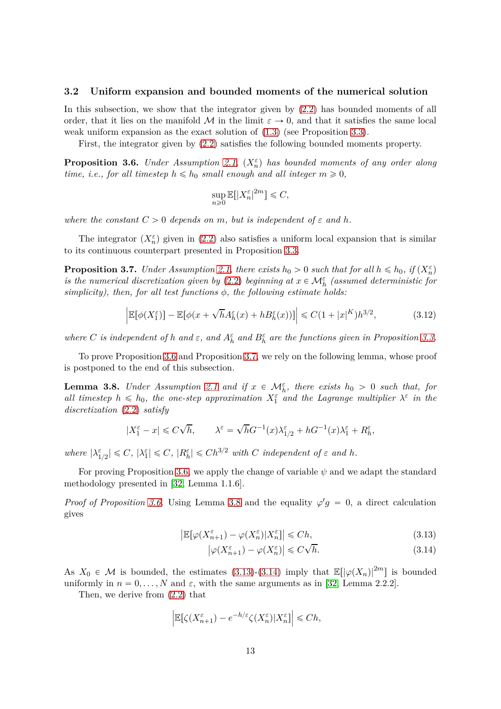#### <span id="page-12-0"></span>**3.2 Uniform expansion and bounded moments of the numerical solution**

In this subsection, we show that the integrator given by [\(2.2\)](#page-4-0) has bounded moments of all order, that it lies on the manifold M in the limit  $\varepsilon \to 0$ , and that it satisfies the same local weak uniform expansion as the exact solution of  $(1.3)$  (see Proposition [3.3\)](#page-8-1).

First, the integrator given by [\(2.2\)](#page-4-0) satisfies the following bounded moments property.

<span id="page-12-1"></span>**Proposition 3.6.** *Under Assumption [2.1,](#page-3-1)*  $(X_n^{\varepsilon})$  *has bounded moments of any order along time, i.e., for all timestep*  $h \leq h_0$  *small enough and all integer*  $m \geq 0$ *,* 

$$
\sup_{n\geqslant 0}\mathbb{E}[|X_n^\varepsilon|^{2m}]\leqslant C,
$$

*where the constant*  $C > 0$  *depends on*  $m$ *, but is independent of*  $\varepsilon$  *and*  $h$ *.* 

The integrator  $(X_n^{\varepsilon})$  given in [\(2.2\)](#page-4-0) also satisfies a uniform local expansion that is similar to its continuous counterpart presented in Proposition [3.3.](#page-8-1)

<span id="page-12-2"></span>**Proposition 3.7.** *Under Assumption [2.1,](#page-3-1) there exists*  $h_0 > 0$  *such that for all*  $h \leq h_0$ *, if*  $(X_n^{\varepsilon})$ *is the numerical discretization given by* [\(2.2\)](#page-4-0) *beginning at*  $x \in \mathcal{M}_h^{\varepsilon}$  (assumed deterministic for *simplicity), then, for all test functions φ, the following estimate holds:*

<span id="page-12-6"></span>
$$
\left| \mathbb{E}[\phi(X_1^{\varepsilon})] - \mathbb{E}[\phi(x + \sqrt{h}A_h^{\varepsilon}(x) + hB_h^{\varepsilon}(x))] \right| \leq C(1 + |x|^K)h^{3/2},\tag{3.12}
$$

*where C is independent of h* and  $\varepsilon$ , and  $A_h^{\varepsilon}$  and  $B_h^{\varepsilon}$  are the functions given in Proposition [3.3.](#page-8-1)

To prove Proposition [3.6](#page-12-1) and Proposition [3.7,](#page-12-2) we rely on the following lemma, whose proof is postponed to the end of this subsection.

<span id="page-12-3"></span>**Lemma 3.8.** *Under Assumption* [2.1](#page-3-1) *and if*  $x \in \mathcal{M}_h^{\varepsilon}$ , *there exists*  $h_0 > 0$  *such that, for all timestep*  $h \leq h_0$ , the one-step approximation  $X_1^{\varepsilon}$  and the Lagrange multiplier  $\lambda^{\varepsilon}$  in the *discretization* [\(2.2\)](#page-4-0) *satisfy*

$$
|X_1^\varepsilon-x|\leqslant C\sqrt{h},\qquad \lambda^\varepsilon=\sqrt{h}G^{-1}(x)\lambda_{1/2}^\varepsilon+hG^{-1}(x)\lambda_1^\varepsilon+R_h^\varepsilon,
$$

 $where$   $|\lambda_{1/2}^{\varepsilon}| \leq C$ ,  $|\lambda_1^{\varepsilon}| \leq C$ ,  $|R_h^{\varepsilon}| \leq Ch^{3/2}$  *with C independent of*  $\varepsilon$  *and*  $h$ .

For proving Proposition [3.6,](#page-12-1) we apply the change of variable  $\psi$  and we adapt the standard methodology presented in [\[32,](#page-21-8) Lemma 1.1.6].

*Proof of Proposition [3.6.](#page-12-1)* Using Lemma [3.8](#page-12-3) and the equality  $\varphi' g = 0$ , a direct calculation gives

$$
\left| \mathbb{E}[\varphi(X_{n+1}^{\varepsilon}) - \varphi(X_n^{\varepsilon}) | X_n^{\varepsilon}] \right| \leq C h, \tag{3.13}
$$

<span id="page-12-5"></span><span id="page-12-4"></span>
$$
\left|\varphi(X_{n+1}^{\varepsilon}) - \varphi(X_n^{\varepsilon})\right| \leqslant C\sqrt{h}.\tag{3.14}
$$

As  $X_0 \in \mathcal{M}$  is bounded, the estimates [\(3.13\)](#page-12-4)-[\(3.14\)](#page-12-5) imply that  $\mathbb{E}[\left|\varphi(X_n)\right|^{2m}]$  is bounded uniformly in  $n = 0, \ldots, N$  and  $\varepsilon$ , with the same arguments as in [\[32,](#page-21-8) Lemma 2.2.2].

Then, we derive from [\(2.2\)](#page-4-0) that

$$
\Big|\mathbb{E}\big[\zeta(X_{n+1}^\varepsilon)-e^{-h/\varepsilon}\zeta(X_n^\varepsilon)|X_n^\varepsilon\big]\Big|\leqslant Ch,
$$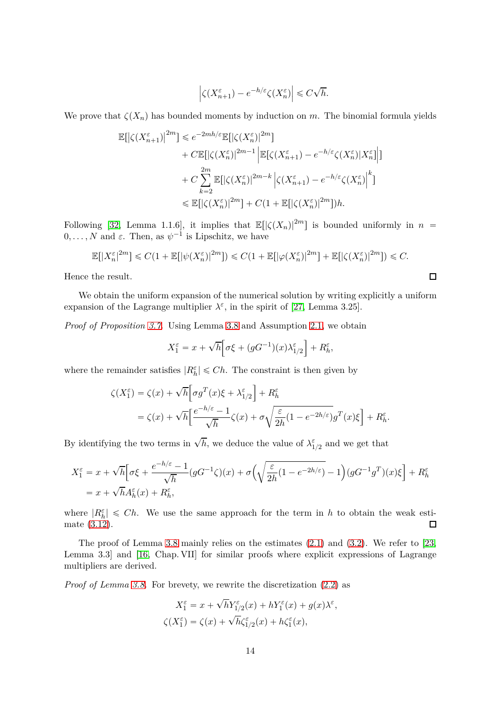$$
\left|\zeta(X_{n+1}^\varepsilon)-e^{-h/\varepsilon}\zeta(X_n^\varepsilon)\right|\leqslant C\sqrt{h}.
$$

We prove that  $\zeta(X_n)$  has bounded moments by induction on *m*. The binomial formula yields

$$
\label{eq:21} \begin{split} \mathbb{E}[\left|\zeta(X_{n+1}^\varepsilon)\right|^{2m}] &\leqslant e^{-2mh/\varepsilon}\mathbb{E}[\left|\zeta(X_n^\varepsilon)\right|^{2m}] \\ &+ C\mathbb{E}[\left|\zeta(X_n^\varepsilon)\right|^{2m-1}\left|\mathbb{E}[\zeta(X_{n+1}^\varepsilon)-e^{-h/\varepsilon}\zeta(X_n^\varepsilon)|X_n^\varepsilon]\right|] \\ &+ C\sum_{k=2}^{2m}\mathbb{E}[\left|\zeta(X_n^\varepsilon)\right|^{2m-k}\left|\zeta(X_{n+1}^\varepsilon)-e^{-h/\varepsilon}\zeta(X_n^\varepsilon)\right|^k] \\ &\leqslant \mathbb{E}[\left|\zeta(X_n^\varepsilon)\right|^{2m}] + C\big(1+\mathbb{E}[\left|\zeta(X_n^\varepsilon)\right|^{2m}]\big)h. \end{split}
$$

Following [\[32,](#page-21-8) Lemma 1.1.6], it implies that  $\mathbb{E}[(\zeta(X_n)|^{2m}]$  is bounded uniformly in  $n =$  $0, \ldots, N$  and  $\varepsilon$ . Then, as  $\psi^{-1}$  is Lipschitz, we have

$$
\mathbb{E}[|X_n^{\varepsilon}|^{2m}] \leq C(1 + \mathbb{E}[|\psi(X_n^{\varepsilon})|^{2m}]) \leq C(1 + \mathbb{E}[|\varphi(X_n^{\varepsilon})|^{2m}] + \mathbb{E}[|\zeta(X_n^{\varepsilon})|^{2m}]) \leq C.
$$

 $\Box$ 

Hence the result.

We obtain the uniform expansion of the numerical solution by writing explicitly a uniform expansion of the Lagrange multiplier  $\lambda^{\varepsilon}$ , in the spirit of [\[27,](#page-21-0) Lemma 3.25].

*Proof of Proposition [3.7.](#page-12-2)* Using Lemma [3.8](#page-12-3) and Assumption [2.1,](#page-3-1) we obtain

$$
X_1^{\varepsilon} = x + \sqrt{h} \Big[ \sigma \xi + (gG^{-1})(x)\lambda_{1/2}^{\varepsilon} \Big] + R_h^{\varepsilon},
$$

where the remainder satisfies  $|R_h^{\varepsilon}| \leq Ch$ . The constraint is then given by

$$
\zeta(X_1^{\varepsilon}) = \zeta(x) + \sqrt{h} \Big[ \sigma g^T(x)\xi + \lambda_{1/2}^{\varepsilon} \Big] + R_h^{\varepsilon}
$$
  
=  $\zeta(x) + \sqrt{h} \Big[ \frac{e^{-h/\varepsilon} - 1}{\sqrt{h}} \zeta(x) + \sigma \sqrt{\frac{\varepsilon}{2h}} (1 - e^{-2h/\varepsilon}) g^T(x)\xi \Big] + R_h^{\varepsilon}.$ 

By identifying the two terms in  $\sqrt{h}$ , we deduce the value of  $\lambda_{1/2}^{\varepsilon}$  and we get that

$$
X_1^{\varepsilon} = x + \sqrt{h} \Big[ \sigma \xi + \frac{e^{-h/\varepsilon} - 1}{\sqrt{h}} \left( g G^{-1} \zeta \right) (x) + \sigma \Big( \sqrt{\frac{\varepsilon}{2h} \left( 1 - e^{-2h/\varepsilon} \right)} - 1 \Big) \left( g G^{-1} g^T \right) (x) \xi \Big] + R_h^{\varepsilon}
$$
  
=  $x + \sqrt{h} A_h^{\varepsilon}(x) + R_h^{\varepsilon}$ ,

where  $|R_h^{\varepsilon}| \leq Ch$ . We use the same approach for the term in *h* to obtain the weak estimate [\(3.12\)](#page-12-6).

The proof of Lemma [3.8](#page-12-3) mainly relies on the estimates  $(2.1)$  and  $(3.2)$ . We refer to [\[23,](#page-20-5) Lemma 3.3] and [\[16,](#page-20-1) Chap. VII] for similar proofs where explicit expressions of Lagrange multipliers are derived.

*Proof of Lemma [3.8.](#page-12-3)* For brevety, we rewrite the discretization [\(2.2\)](#page-4-0) as

$$
\begin{split} X_1^\varepsilon = x + \sqrt{h} Y_{1/2}^\varepsilon(x) + h Y_1^\varepsilon(x) + g(x) \lambda^\varepsilon, \\ \zeta(X_1^\varepsilon) = \zeta(x) + \sqrt{h} \zeta_{1/2}^\varepsilon(x) + h \zeta_1^\varepsilon(x), \end{split}
$$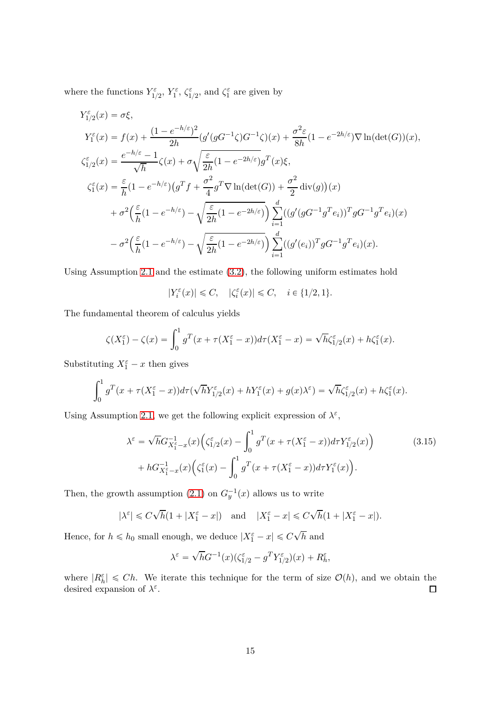where the functions  $Y_{1/2}^{\varepsilon}$ ,  $Y_1^{\varepsilon}$ ,  $\zeta_{1/2}^{\varepsilon}$ , and  $\zeta_1^{\varepsilon}$  are given by

$$
Y_1^{\varepsilon}(x) = \sigma \xi,
$$
  
\n
$$
Y_1^{\varepsilon}(x) = f(x) + \frac{(1 - e^{-h/\varepsilon})^2}{2h} (g'(gG^{-1}\zeta)G^{-1}\zeta)(x) + \frac{\sigma^2 \varepsilon}{8h} (1 - e^{-2h/\varepsilon}) \nabla \ln(\det(G))(x),
$$
  
\n
$$
\zeta_{1/2}^{\varepsilon}(x) = \frac{e^{-h/\varepsilon} - 1}{\sqrt{h}} \zeta(x) + \sigma \sqrt{\frac{\varepsilon}{2h} (1 - e^{-2h/\varepsilon})} g^T(x) \xi,
$$
  
\n
$$
\zeta_1^{\varepsilon}(x) = \frac{\varepsilon}{h} (1 - e^{-h/\varepsilon}) (g^T f + \frac{\sigma^2}{4} g^T \nabla \ln(\det(G)) + \frac{\sigma^2}{2} \operatorname{div}(g))(x)
$$
  
\n
$$
+ \sigma^2 \left(\frac{\varepsilon}{h} (1 - e^{-h/\varepsilon}) - \sqrt{\frac{\varepsilon}{2h} (1 - e^{-2h/\varepsilon})}\right) \sum_{i=1}^d ((g'(gG^{-1}g^T e_i))^T g G^{-1} g^T e_i)(x)
$$
  
\n
$$
- \sigma^2 \left(\frac{\varepsilon}{h} (1 - e^{-h/\varepsilon}) - \sqrt{\frac{\varepsilon}{2h} (1 - e^{-2h/\varepsilon})}\right) \sum_{i=1}^d ((g'(e_i))^T g G^{-1} g^T e_i)(x).
$$

Using Assumption [2.1](#page-3-1) and the estimate [\(3.2\)](#page-7-1), the following uniform estimates hold

$$
|Y_i^\varepsilon(x)|\leqslant C,\quad |\zeta_i^\varepsilon(x)|\leqslant C,\quad i\in\{1/2,1\}.
$$

The fundamental theorem of calculus yields

$$
\zeta(X_1^{\varepsilon}) - \zeta(x) = \int_0^1 g^T(x + \tau(X_1^{\varepsilon} - x)) d\tau(X_1^{\varepsilon} - x) = \sqrt{h} \zeta_{1/2}^{\varepsilon}(x) + h \zeta_1^{\varepsilon}(x).
$$

Substituting  $X_1^{\varepsilon} - x$  then gives

$$
\int_0^1 g^T(x+\tau(X_1^{\varepsilon}-x))d\tau(\sqrt{h}Y_{1/2}^{\varepsilon}(x)+hY_1^{\varepsilon}(x)+g(x)\lambda^{\varepsilon})=\sqrt{h}\zeta_{1/2}^{\varepsilon}(x)+h\zeta_1^{\varepsilon}(x).
$$

Using Assumption [2.1,](#page-3-1) we get the following explicit expression of  $\lambda^{\varepsilon}$ ,

$$
\lambda^{\varepsilon} = \sqrt{h} G_{X_1^{\varepsilon} - x}^{-1}(x) \Big( \zeta_{1/2}^{\varepsilon}(x) - \int_0^1 g^T(x + \tau (X_1^{\varepsilon} - x)) d\tau Y_{1/2}^{\varepsilon}(x) \Big) + h G_{X_1^{\varepsilon} - x}^{-1}(x) \Big( \zeta_1^{\varepsilon}(x) - \int_0^1 g^T(x + \tau (X_1^{\varepsilon} - x)) d\tau Y_1^{\varepsilon}(x) \Big).
$$
\n(3.15)

Then, the growth assumption [\(2.1\)](#page-3-0) on  $G_y^{-1}(x)$  allows us to write

$$
|\lambda^{\varepsilon}| \leq C\sqrt{h}(1+|X_1^{\varepsilon}-x|)
$$
 and  $|X_1^{\varepsilon}-x| \leq C\sqrt{h}(1+|X_1^{\varepsilon}-x|).$ 

Hence, for  $h \le h_0$  small enough, we deduce  $|X_1^{\varepsilon} - x| \leq C\sqrt{h}$  and

<span id="page-14-0"></span>
$$
\lambda^{\varepsilon} = \sqrt{h}G^{-1}(x)(\zeta_{1/2}^{\varepsilon} - g^T Y_{1/2}^{\varepsilon})(x) + R_h^{\varepsilon},
$$

where  $|R_h^{\varepsilon}| \leq Ch$ . We iterate this technique for the term of size  $\mathcal{O}(h)$ , and we obtain the desired expansion of  $\lambda^{\varepsilon}$ .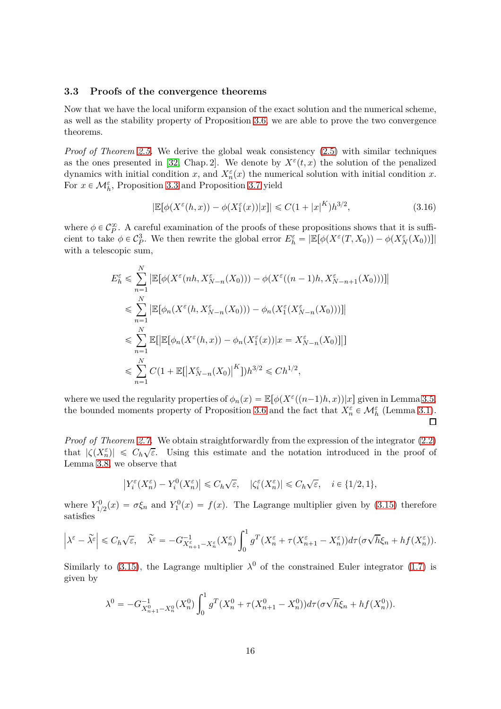#### <span id="page-15-0"></span>**3.3 Proofs of the convergence theorems**

Now that we have the local uniform expansion of the exact solution and the numerical scheme, as well as the stability property of Proposition [3.6,](#page-12-1) we are able to prove the two convergence theorems.

*Proof of Theorem [2.5.](#page-5-0)* We derive the global weak consistency [\(2.5\)](#page-5-2) with similar techniques as the ones presented in [\[32,](#page-21-8) Chap. 2]. We denote by  $X^{\varepsilon}(t,x)$  the solution of the penalized dynamics with initial condition *x*, and  $X_n^{\varepsilon}(x)$  the numerical solution with initial condition *x*. For  $x \in \mathcal{M}_{h}^{\varepsilon}$ , Proposition [3.3](#page-8-1) and Proposition [3.7](#page-12-2) yield

$$
|\mathbb{E}[\phi(X^{\varepsilon}(h,x)) - \phi(X_1^{\varepsilon}(x))|x]| \leq C(1+|x|^K)h^{3/2},\tag{3.16}
$$

where  $\phi \in C_P^{\infty}$ . A careful examination of the proofs of these propositions shows that it is sufficient to take  $\phi \in C_P^3$ *P*. We then rewrite the global error  $E_h^{\varepsilon} = |\mathbb{E}[\phi(X^{\varepsilon}(T, X_0)) - \phi(X_N^{\varepsilon}(X_0))]|$ with a telescopic sum,

$$
E_h^{\varepsilon} \leq \sum_{n=1}^N \left| \mathbb{E}[\phi(X^{\varepsilon}(nh, X_{N-n}^{\varepsilon}(X_0))) - \phi(X^{\varepsilon}((n-1)h, X_{N-n+1}^{\varepsilon}(X_0)))] \right|
$$
  
\n
$$
\leq \sum_{n=1}^N \left| \mathbb{E}[\phi_n(X^{\varepsilon}(h, X_{N-n}^{\varepsilon}(X_0))) - \phi_n(X_1^{\varepsilon}(X_{N-n}^{\varepsilon}(X_0)))] \right|
$$
  
\n
$$
\leq \sum_{n=1}^N \mathbb{E}[\left| \mathbb{E}[\phi_n(X^{\varepsilon}(h, x)) - \phi_n(X_1^{\varepsilon}(x))|x = X_{N-n}^{\varepsilon}(X_0)] \right|]
$$
  
\n
$$
\leq \sum_{n=1}^N C(1 + \mathbb{E}[\left|X_{N-n}^{\varepsilon}(X_0)\right|^K])h^{3/2} \leq Ch^{1/2},
$$

where we used the regularity properties of  $\phi_n(x) = \mathbb{E}[\phi(X^{\varepsilon}((n-1)h, x))|x]$  given in Lemma [3.5,](#page-11-2) the bounded moments property of Proposition [3.6](#page-12-1) and the fact that  $X_n^{\varepsilon} \in \mathcal{M}_h^{\varepsilon}$  (Lemma [3.1\)](#page-7-3).  $\Box$ 

*Proof of Theorem [2.7.](#page-6-0)* We obtain straightforwardly from the expression of the integrator [\(2.2\)](#page-4-0) that  $|\zeta(X_n^{\varepsilon})| \leq C_h \sqrt{\varepsilon}$ . Using this estimate and the notation introduced in the proof of Lemma [3.8,](#page-12-3) we observe that

$$
\left|Y_i^\varepsilon(X_n^\varepsilon)-Y_i^0(X_n^\varepsilon)\right|\leqslant C_h\sqrt{\varepsilon},\quad |\zeta_i^\varepsilon(X_n^\varepsilon)|\leqslant C_h\sqrt{\varepsilon},\quad i\in\{1/2,1\},
$$

where  $Y_{1/2}^0(x) = \sigma \xi_n$  and  $Y_1^0(x) = f(x)$ . The Lagrange multiplier given by [\(3.15\)](#page-14-0) therefore satisfies

$$
\left|\lambda^{\varepsilon}-\widetilde{\lambda^{\varepsilon}}\right|\leq C_h\sqrt{\varepsilon},\quad \widetilde{\lambda^{\varepsilon}}=-G_{X_{n+1}^{\varepsilon}-X_n^{\varepsilon}}^{-1}(X_n^{\varepsilon})\int_0^1g^T\big(X_n^{\varepsilon}+\tau\big(X_{n+1}^{\varepsilon}-X_n^{\varepsilon}\big)\big)d\tau\big(\sigma\sqrt{h}\xi_n+hf(X_n^{\varepsilon})\big).
$$

Similarly to [\(3.15\)](#page-14-0), the Lagrange multiplier  $\lambda^0$  of the constrained Euler integrator [\(1.7\)](#page-2-0) is given by

$$
\lambda^{0} = -G_{X_{n+1}^{0}-X_{n}^{0}}^{-1}(X_{n}^{0}) \int_{0}^{1} g^{T}(X_{n}^{0} + \tau(X_{n+1}^{0} - X_{n}^{0})) d\tau (\sigma \sqrt{h} \xi_{n} + h f(X_{n}^{0})).
$$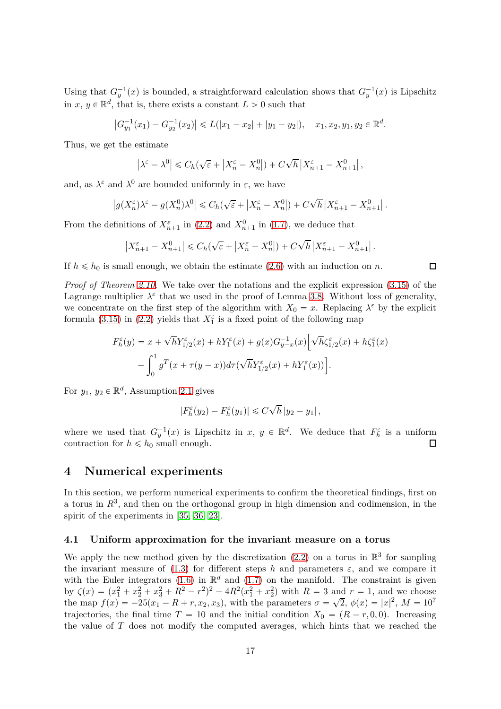Using that  $G_y^{-1}(x)$  is bounded, a straightforward calculation shows that  $G_y^{-1}(x)$  is Lipschitz in  $x, y \in \mathbb{R}^d$ , that is, there exists a constant  $L > 0$  such that

$$
\left|G_{y_1}^{-1}(x_1) - G_{y_2}^{-1}(x_2)\right| \le L(|x_1 - x_2| + |y_1 - y_2|), \quad x_1, x_2, y_1, y_2 \in \mathbb{R}^d.
$$

Thus, we get the estimate

$$
\left|\lambda^{\varepsilon}-\lambda^{0}\right| \leq C_{h}(\sqrt{\varepsilon}+\left|X_{n}^{\varepsilon}-X_{n}^{0}\right|)+C\sqrt{h}\left|X_{n+1}^{\varepsilon}-X_{n+1}^{0}\right|,
$$

and, as  $\lambda^{\varepsilon}$  and  $\lambda^{0}$  are bounded uniformly in  $\varepsilon$ , we have

$$
\left|g(X_n^\varepsilon)\lambda^\varepsilon-g(X_n^0)\lambda^0\right|\leqslant C_h(\sqrt{\varepsilon}+\left|X_n^\varepsilon-X_n^0\right|)+C\sqrt{h}\left|X_{n+1}^\varepsilon-X_{n+1}^0\right|.
$$

From the definitions of  $X_{n+1}^{\varepsilon}$  in [\(2.2\)](#page-4-0) and  $X_{n+1}^0$  in [\(1.7\)](#page-2-0), we deduce that

$$
\left|X_{n+1}^{\varepsilon} - X_{n+1}^0\right| \leqslant C_h(\sqrt{\varepsilon} + \left|X_n^{\varepsilon} - X_n^0\right|) + C\sqrt{h}\left|X_{n+1}^{\varepsilon} - X_{n+1}^0\right|.
$$

If  $h \le h_0$  is small enough, we obtain the estimate [\(2.6\)](#page-6-3) with an induction on *n*.

*Proof of Theorem [2.10.](#page-6-2)* We take over the notations and the explicit expression [\(3.15\)](#page-14-0) of the Lagrange multiplier  $\lambda^{\varepsilon}$  that we used in the proof of Lemma [3.8.](#page-12-3) Without loss of generality, we concentrate on the first step of the algorithm with  $X_0 = x$ . Replacing  $\lambda^{\varepsilon}$  by the explicit formula [\(3.15\)](#page-14-0) in [\(2.2\)](#page-4-0) yields that  $X_1^{\varepsilon}$  is a fixed point of the following map

$$
F_h^{\varepsilon}(y) = x + \sqrt{h}Y_{1/2}^{\varepsilon}(x) + hY_1^{\varepsilon}(x) + g(x)G_{y-x}^{-1}(x)\Big[\sqrt{h}\zeta_{1/2}^{\varepsilon}(x) + h\zeta_1^{\varepsilon}(x) - \int_0^1 g^T(x + \tau(y-x))d\tau(\sqrt{h}Y_{1/2}^{\varepsilon}(x) + hY_1^{\varepsilon}(x))\Big].
$$

For  $y_1, y_2 \in \mathbb{R}^d$ , Assumption [2.1](#page-3-1) gives

$$
|F_h^{\varepsilon}(y_2) - F_h^{\varepsilon}(y_1)| \leqslant C\sqrt{h} |y_2 - y_1|,
$$

where we used that  $G_y^{-1}(x)$  is Lipschitz in  $x, y \in \mathbb{R}^d$ . We deduce that  $F_h^{\varepsilon}$  is a uniform contraction for  $h \le h_0$  small enough. П

#### <span id="page-16-0"></span>**4 Numerical experiments**

In this section, we perform numerical experiments to confirm the theoretical findings, first on a torus in  $R<sup>3</sup>$ , and then on the orthogonal group in high dimension and codimension, in the spirit of the experiments in [\[35,](#page-21-7) [36,](#page-21-11) [23\]](#page-20-5).

### **4.1 Uniform approximation for the invariant measure on a torus**

We apply the new method given by the discretization  $(2.2)$  on a torus in  $\mathbb{R}^3$  for sampling the invariant measure of  $(1.3)$  for different steps *h* and parameters  $\varepsilon$ , and we compare it with the Euler integrators [\(1.6\)](#page-1-2) in  $\mathbb{R}^d$  and [\(1.7\)](#page-2-0) on the manifold. The constraint is given by  $\zeta(x) = (x_1^2 + x_2^2 + x_3^2 + R^2 - r^2)^2 - 4R^2(x_1^2 + x_2^2)$  with  $R = 3$  and  $r = 1$ , and we choose the map  $f(x) = -25(x_1 - R + r, x_2, x_3)$ , with the parameters  $\sigma = \sqrt{2}$ ,  $\phi(x) = |x|^2$ ,  $M = 10^7$ trajectories, the final time  $T = 10$  and the initial condition  $X_0 = (R - r, 0, 0)$ . Increasing the value of *T* does not modify the computed averages, which hints that we reached the

□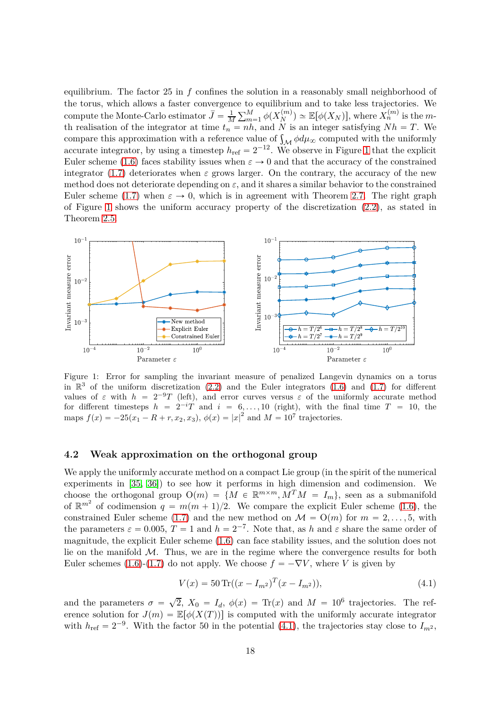equilibrium. The factor 25 in *f* confines the solution in a reasonably small neighborhood of the torus, which allows a faster convergence to equilibrium and to take less trajectories. We compute the Monte-Carlo estimator  $\bar{J} = \frac{1}{M}$  $\frac{1}{M} \sum_{m=1}^{M} \phi(X_N^{(m)})$  $\mathbb{E}[\phi(X_N)],$  where  $X_n^{(m)}$  is the *m*th realisation of the integrator at time  $t_n = nh$ , and *N* is an integer satisfying  $Nh = T$ . We compare this approximation with a reference value of  $\int_{\mathcal{M}} \phi d\mu_{\infty}$  computed with the uniformly accurate integrator, by using a timestep  $h_{\text{ref}} = 2^{-12}$ . We observe in Figure [1](#page-17-0) that the explicit Euler scheme [\(1.6\)](#page-1-2) faces stability issues when  $\varepsilon \to 0$  and that the accuracy of the constrained integrator [\(1.7\)](#page-2-0) deteriorates when  $\varepsilon$  grows larger. On the contrary, the accuracy of the new method does not deteriorate depending on *ε*, and it shares a similar behavior to the constrained Euler scheme [\(1.7\)](#page-2-0) when  $\varepsilon \to 0$ , which is in agreement with Theorem [2.7.](#page-6-0) The right graph of Figure [1](#page-17-0) shows the uniform accuracy property of the discretization [\(2.2\)](#page-4-0), as stated in Theorem [2.5.](#page-5-0)

<span id="page-17-0"></span>

Figure 1: Error for sampling the invariant measure of penalized Langevin dynamics on a torus in  $\mathbb{R}^3$  of the uniform discretization [\(2.2\)](#page-4-0) and the Euler integrators [\(1.6\)](#page-1-2) and [\(1.7\)](#page-2-0) for different values of  $\varepsilon$  with  $h = 2^{-9}T$  (left), and error curves versus  $\varepsilon$  of the uniformly accurate method for different timesteps  $h = 2^{-i}T$  and  $i = 6, \ldots, 10$  (right), with the final time  $T = 10$ , the maps  $f(x) = -25(x_1 - R + r, x_2, x_3), \phi(x) = |x|^2$  and  $M = 10^7$  trajectories.

### **4.2 Weak approximation on the orthogonal group**

We apply the uniformly accurate method on a compact Lie group (in the spirit of the numerical experiments in [\[35,](#page-21-7) [36\]](#page-21-11)) to see how it performs in high dimension and codimension. We choose the orthogonal group  $O(m) = \{M \in \mathbb{R}^{m \times m}, M^T M = I_m\}$ , seen as a submanifold of  $\mathbb{R}^{m^2}$  of codimension  $q = m(m+1)/2$ . We compare the explicit Euler scheme [\(1.6\)](#page-1-2), the constrained Euler scheme [\(1.7\)](#page-2-0) and the new method on  $\mathcal{M} = O(m)$  for  $m = 2, \ldots, 5$ , with the parameters  $\varepsilon = 0.005$ ,  $T = 1$  and  $h = 2^{-7}$ . Note that, as *h* and  $\varepsilon$  share the same order of magnitude, the explicit Euler scheme [\(1.6\)](#page-1-2) can face stability issues, and the solution does not lie on the manifold  $M$ . Thus, we are in the regime where the convergence results for both Euler schemes [\(1.6\)](#page-1-2)-[\(1.7\)](#page-2-0) do not apply. We choose  $f = -\nabla V$ , where *V* is given by

<span id="page-17-1"></span>
$$
V(x) = 50 \operatorname{Tr}((x - I_{m^2})^T (x - I_{m^2})), \tag{4.1}
$$

and the parameters  $\sigma = \sqrt{2}$ ,  $X_0 = I_d$ ,  $\phi(x) = \text{Tr}(x)$  and  $M = 10^6$  trajectories. The reference solution for  $J(m) = \mathbb{E}[\phi(X(T))]$  is computed with the uniformly accurate integrator with  $h_{\text{ref}} = 2^{-9}$ . With the factor 50 in the potential [\(4.1\)](#page-17-1), the trajectories stay close to  $I_{m^2}$ ,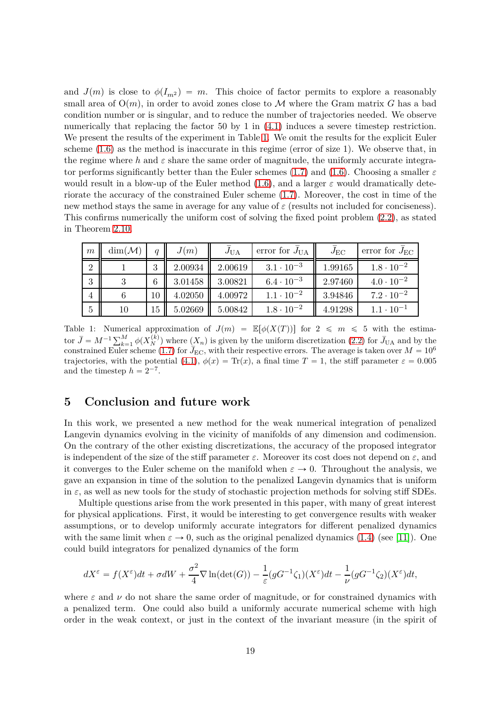and  $J(m)$  is close to  $\phi(I_{m^2}) = m$ . This choice of factor permits to explore a reasonably small area of  $O(m)$ , in order to avoid zones close to M where the Gram matrix G has a bad condition number or is singular, and to reduce the number of trajectories needed. We observe numerically that replacing the factor 50 by 1 in  $(4.1)$  induces a severe timestep restriction. We present the results of the experiment in Table [1.](#page-18-1) We omit the results for the explicit Euler scheme [\(1.6\)](#page-1-2) as the method is inaccurate in this regime (error of size 1). We observe that, in the regime where  $h$  and  $\varepsilon$  share the same order of magnitude, the uniformly accurate integrator performs significantly better than the Euler schemes [\(1.7\)](#page-2-0) and [\(1.6\)](#page-1-2). Choosing a smaller *ε* would result in a blow-up of the Euler method [\(1.6\)](#page-1-2), and a larger *ε* would dramatically deteriorate the accuracy of the constrained Euler scheme [\(1.7\)](#page-2-0). Moreover, the cost in time of the new method stays the same in average for any value of  $\varepsilon$  (results not included for conciseness). This confirms numerically the uniform cost of solving the fixed point problem [\(2.2\)](#page-4-0), as stated in Theorem [2.10.](#page-6-2)

<span id="page-18-1"></span>

| $\mid m$        | $\dim(\mathcal{M})$ | $\boldsymbol{q}$ | J(m)    | $J_{\text{UA}}$ | error for $J_{\text{UA}}$ | $J_{\rm EC}$ | error for $J_{\text{EC}}$ |
|-----------------|---------------------|------------------|---------|-----------------|---------------------------|--------------|---------------------------|
| $\overline{2}$  |                     | 3                | 2.00934 | 2.00619         | $3.1 \cdot 10^{-3}$       | 1.99165      | $1.8 \cdot 10^{-2}$       |
| 3               |                     | 6                | 3.01458 | 3.00821         | $6.4 \cdot 10^{-3}$       | 2.97460      | $4.0 \cdot 10^{-2}$       |
| $\overline{4}$  |                     | 10               | 4.02050 | 4.00972         | $1.1 \cdot 10^{-2}$       | 3.94846      | $7.2 \cdot 10^{-2}$       |
| $5\overline{)}$ | 10                  | 15               | 5.02669 | 5.00842         | $1.8 \cdot 10^{-2}$       | 4.91298      | $1.1 \cdot 10^{-1}$       |

Table 1: Numerical approximation of  $J(m) = \mathbb{E}[\phi(X(T))]$  for  $2 \leq m \leq 5$  with the estimator  $\bar{J} = M^{-1} \sum_{k=1}^{M} \phi(X_N^{(k)})$  where  $(X_n)$  is given by the uniform discretization [\(2.2\)](#page-4-0) for  $\bar{J}_{\text{UA}}$  and by the constrained Euler scheme [\(1.7\)](#page-2-0) for  $\bar{J}_{EC}$ , with their respective errors. The average is taken over  $M = 10^6$ trajectories, with the potential [\(4.1\)](#page-17-1),  $\phi(x) = \text{Tr}(x)$ , a final time  $T = 1$ , the stiff parameter  $\varepsilon = 0.005$ and the timestep  $h = 2^{-7}$ .

## <span id="page-18-0"></span>**5 Conclusion and future work**

In this work, we presented a new method for the weak numerical integration of penalized Langevin dynamics evolving in the vicinity of manifolds of any dimension and codimension. On the contrary of the other existing discretizations, the accuracy of the proposed integrator is independent of the size of the stiff parameter  $\varepsilon$ . Moreover its cost does not depend on  $\varepsilon$ , and it converges to the Euler scheme on the manifold when  $\varepsilon \to 0$ . Throughout the analysis, we gave an expansion in time of the solution to the penalized Langevin dynamics that is uniform in  $\varepsilon$ , as well as new tools for the study of stochastic projection methods for solving stiff SDEs.

Multiple questions arise from the work presented in this paper, with many of great interest for physical applications. First, it would be interesting to get convergence results with weaker assumptions, or to develop uniformly accurate integrators for different penalized dynamics with the same limit when  $\varepsilon \to 0$ , such as the original penalized dynamics [\(1.4\)](#page-1-1) (see [\[11\]](#page-20-0)). One could build integrators for penalized dynamics of the form

$$
dX^{\varepsilon} = f(X^{\varepsilon})dt + \sigma dW + \frac{\sigma^2}{4} \nabla \ln(\det(G)) - \frac{1}{\varepsilon} (gG^{-1}\zeta_1)(X^{\varepsilon})dt - \frac{1}{\nu} (gG^{-1}\zeta_2)(X^{\varepsilon})dt,
$$

where  $\varepsilon$  and  $\nu$  do not share the same order of magnitude, or for constrained dynamics with a penalized term. One could also build a uniformly accurate numerical scheme with high order in the weak context, or just in the context of the invariant measure (in the spirit of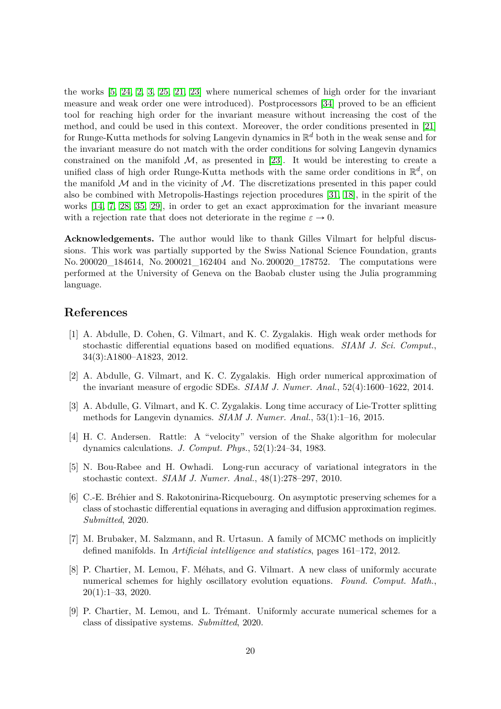the works [\[5,](#page-19-6) [24,](#page-20-14) [2,](#page-19-7) [3,](#page-19-8) [25,](#page-20-15) [21,](#page-20-4) [23\]](#page-20-5) where numerical schemes of high order for the invariant measure and weak order one were introduced). Postprocessors [\[34\]](#page-21-12) proved to be an efficient tool for reaching high order for the invariant measure without increasing the cost of the method, and could be used in this context. Moreover, the order conditions presented in [\[21\]](#page-20-4) for Runge-Kutta methods for solving Langevin dynamics in R *<sup>d</sup>* both in the weak sense and for the invariant measure do not match with the order conditions for solving Langevin dynamics constrained on the manifold  $M$ , as presented in [\[23\]](#page-20-5). It would be interesting to create a unified class of high order Runge-Kutta methods with the same order conditions in  $\mathbb{R}^d$ , on the manifold  $M$  and in the vicinity of  $M$ . The discretizations presented in this paper could also be combined with Metropolis-Hastings rejection procedures [\[31,](#page-21-6) [18\]](#page-20-6), in the spirit of the works [\[14,](#page-20-7) [7,](#page-19-1) [28,](#page-21-3) [35,](#page-21-7) [29\]](#page-21-4), in order to get an exact approximation for the invariant measure with a rejection rate that does not deteriorate in the regime  $\varepsilon \to 0$ .

**Acknowledgements.** The author would like to thank Gilles Vilmart for helpful discussions. This work was partially supported by the Swiss National Science Foundation, grants No. 200020 184614, No. 200021 162404 and No. 200020 178752. The computations were performed at the University of Geneva on the Baobab cluster using the Julia programming language.

## <span id="page-19-5"></span>**References**

- [1] A. Abdulle, D. Cohen, G. Vilmart, and K. C. Zygalakis. High weak order methods for stochastic differential equations based on modified equations. *SIAM J. Sci. Comput.*, 34(3):A1800–A1823, 2012.
- <span id="page-19-7"></span>[2] A. Abdulle, G. Vilmart, and K. C. Zygalakis. High order numerical approximation of the invariant measure of ergodic SDEs. *SIAM J. Numer. Anal.*, 52(4):1600–1622, 2014.
- <span id="page-19-8"></span>[3] A. Abdulle, G. Vilmart, and K. C. Zygalakis. Long time accuracy of Lie-Trotter splitting methods for Langevin dynamics. *SIAM J. Numer. Anal.*, 53(1):1–16, 2015.
- <span id="page-19-0"></span>[4] H. C. Andersen. Rattle: A "velocity" version of the Shake algorithm for molecular dynamics calculations. *J. Comput. Phys.*, 52(1):24–34, 1983.
- <span id="page-19-6"></span>[5] N. Bou-Rabee and H. Owhadi. Long-run accuracy of variational integrators in the stochastic context. *SIAM J. Numer. Anal.*, 48(1):278–297, 2010.
- <span id="page-19-2"></span>[6] C.-E. Bréhier and S. Rakotonirina-Ricquebourg. On asymptotic preserving schemes for a class of stochastic differential equations in averaging and diffusion approximation regimes. *Submitted*, 2020.
- <span id="page-19-1"></span>[7] M. Brubaker, M. Salzmann, and R. Urtasun. A family of MCMC methods on implicitly defined manifolds. In *Artificial intelligence and statistics*, pages 161–172, 2012.
- <span id="page-19-3"></span>[8] P. Chartier, M. Lemou, F. Méhats, and G. Vilmart. A new class of uniformly accurate numerical schemes for highly oscillatory evolution equations. *Found. Comput. Math.*, 20(1):1–33, 2020.
- <span id="page-19-4"></span>[9] P. Chartier, M. Lemou, and L. Trémant. Uniformly accurate numerical schemes for a class of dissipative systems. *Submitted*, 2020.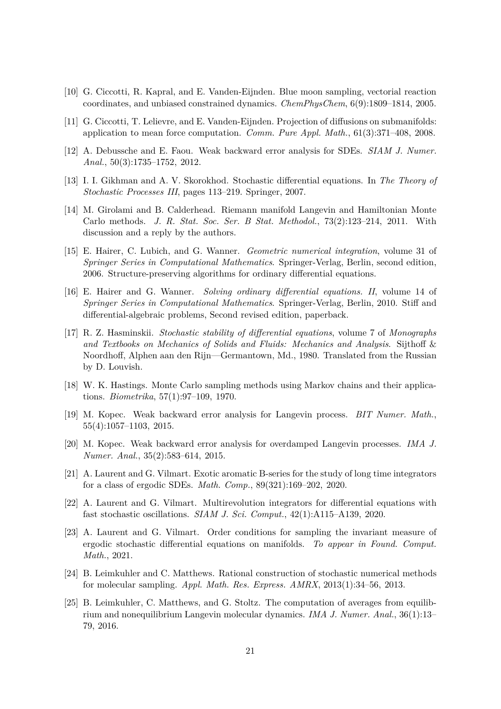- <span id="page-20-3"></span><span id="page-20-0"></span>[10] G. Ciccotti, R. Kapral, and E. Vanden-Eijnden. Blue moon sampling, vectorial reaction coordinates, and unbiased constrained dynamics. *ChemPhysChem*, 6(9):1809–1814, 2005.
- <span id="page-20-9"></span>[11] G. Ciccotti, T. Lelievre, and E. Vanden-Eijnden. Projection of diffusions on submanifolds: application to mean force computation. *Comm. Pure Appl. Math.*, 61(3):371–408, 2008.
- <span id="page-20-13"></span>[12] A. Debussche and E. Faou. Weak backward error analysis for SDEs. *SIAM J. Numer. Anal.*, 50(3):1735–1752, 2012.
- <span id="page-20-7"></span>[13] I. I. Gikhman and A. V. Skorokhod. Stochastic differential equations. In *The Theory of Stochastic Processes III*, pages 113–219. Springer, 2007.
- [14] M. Girolami and B. Calderhead. Riemann manifold Langevin and Hamiltonian Monte Carlo methods. *J. R. Stat. Soc. Ser. B Stat. Methodol.*, 73(2):123–214, 2011. With discussion and a reply by the authors.
- <span id="page-20-12"></span>[15] E. Hairer, C. Lubich, and G. Wanner. *Geometric numerical integration*, volume 31 of *Springer Series in Computational Mathematics*. Springer-Verlag, Berlin, second edition, 2006. Structure-preserving algorithms for ordinary differential equations.
- <span id="page-20-1"></span>[16] E. Hairer and G. Wanner. *Solving ordinary differential equations. II*, volume 14 of *Springer Series in Computational Mathematics*. Springer-Verlag, Berlin, 2010. Stiff and differential-algebraic problems, Second revised edition, paperback.
- <span id="page-20-2"></span>[17] R. Z. Hasminskii. *Stochastic stability of differential equations*, volume 7 of *Monographs and Textbooks on Mechanics of Solids and Fluids: Mechanics and Analysis*. Sijthoff & Noordhoff, Alphen aan den Rijn—Germantown, Md., 1980. Translated from the Russian by D. Louvish.
- <span id="page-20-10"></span><span id="page-20-6"></span>[18] W. K. Hastings. Monte Carlo sampling methods using Markov chains and their applications. *Biometrika*, 57(1):97–109, 1970.
- [19] M. Kopec. Weak backward error analysis for Langevin process. *BIT Numer. Math.*, 55(4):1057–1103, 2015.
- <span id="page-20-11"></span>[20] M. Kopec. Weak backward error analysis for overdamped Langevin processes. *IMA J. Numer. Anal.*, 35(2):583–614, 2015.
- <span id="page-20-4"></span>[21] A. Laurent and G. Vilmart. Exotic aromatic B-series for the study of long time integrators for a class of ergodic SDEs. *Math. Comp.*, 89(321):169–202, 2020.
- <span id="page-20-8"></span>[22] A. Laurent and G. Vilmart. Multirevolution integrators for differential equations with fast stochastic oscillations. *SIAM J. Sci. Comput.*, 42(1):A115–A139, 2020.
- <span id="page-20-5"></span>[23] A. Laurent and G. Vilmart. Order conditions for sampling the invariant measure of ergodic stochastic differential equations on manifolds. *To appear in Found. Comput. Math.*, 2021.
- <span id="page-20-14"></span>[24] B. Leimkuhler and C. Matthews. Rational construction of stochastic numerical methods for molecular sampling. *Appl. Math. Res. Express. AMRX*, 2013(1):34–56, 2013.
- <span id="page-20-15"></span>[25] B. Leimkuhler, C. Matthews, and G. Stoltz. The computation of averages from equilibrium and nonequilibrium Langevin molecular dynamics. *IMA J. Numer. Anal.*, 36(1):13– 79, 2016.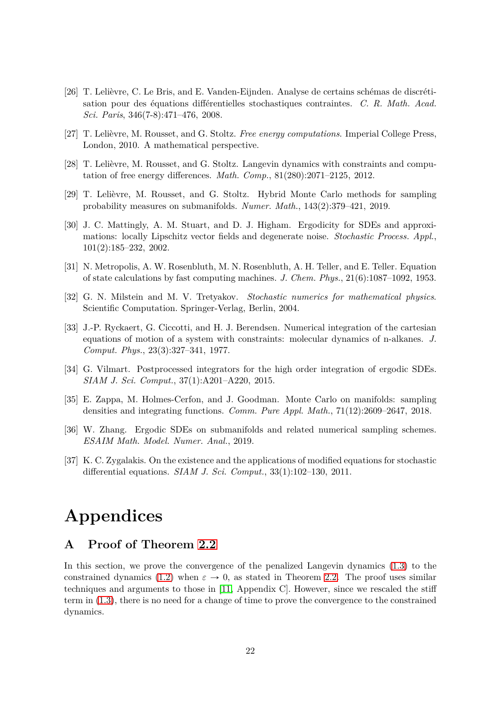- <span id="page-21-2"></span>[26] T. Lelièvre, C. Le Bris, and E. Vanden-Eijnden. Analyse de certains schémas de discrétisation pour des équations différentielles stochastiques contraintes. *C. R. Math. Acad. Sci. Paris*, 346(7-8):471–476, 2008.
- <span id="page-21-3"></span><span id="page-21-0"></span>[27] T. Lelièvre, M. Rousset, and G. Stoltz. *Free energy computations*. Imperial College Press, London, 2010. A mathematical perspective.
- <span id="page-21-4"></span>[28] T. Lelièvre, M. Rousset, and G. Stoltz. Langevin dynamics with constraints and computation of free energy differences. *Math. Comp.*, 81(280):2071–2125, 2012.
- <span id="page-21-1"></span>[29] T. Lelièvre, M. Rousset, and G. Stoltz. Hybrid Monte Carlo methods for sampling probability measures on submanifolds. *Numer. Math.*, 143(2):379–421, 2019.
- [30] J. C. Mattingly, A. M. Stuart, and D. J. Higham. Ergodicity for SDEs and approximations: locally Lipschitz vector fields and degenerate noise. *Stochastic Process. Appl.*, 101(2):185–232, 2002.
- <span id="page-21-8"></span><span id="page-21-6"></span>[31] N. Metropolis, A. W. Rosenbluth, M. N. Rosenbluth, A. H. Teller, and E. Teller. Equation of state calculations by fast computing machines. *J. Chem. Phys.*, 21(6):1087–1092, 1953.
- <span id="page-21-5"></span>[32] G. N. Milstein and M. V. Tretyakov. *Stochastic numerics for mathematical physics*. Scientific Computation. Springer-Verlag, Berlin, 2004.
- [33] J.-P. Ryckaert, G. Ciccotti, and H. J. Berendsen. Numerical integration of the cartesian equations of motion of a system with constraints: molecular dynamics of n-alkanes. *J. Comput. Phys.*, 23(3):327–341, 1977.
- <span id="page-21-12"></span>[34] G. Vilmart. Postprocessed integrators for the high order integration of ergodic SDEs. *SIAM J. Sci. Comput.*, 37(1):A201–A220, 2015.
- <span id="page-21-7"></span>[35] E. Zappa, M. Holmes-Cerfon, and J. Goodman. Monte Carlo on manifolds: sampling densities and integrating functions. *Comm. Pure Appl. Math.*, 71(12):2609–2647, 2018.
- <span id="page-21-11"></span><span id="page-21-10"></span>[36] W. Zhang. Ergodic SDEs on submanifolds and related numerical sampling schemes. *ESAIM Math. Model. Numer. Anal.*, 2019.
- [37] K. C. Zygalakis. On the existence and the applications of modified equations for stochastic differential equations. *SIAM J. Sci. Comput.*, 33(1):102–130, 2011.

# **Appendices**

## <span id="page-21-9"></span>**A Proof of Theorem [2.2](#page-3-2)**

In this section, we prove the convergence of the penalized Langevin dynamics [\(1.3\)](#page-1-0) to the constrained dynamics [\(1.2\)](#page-0-0) when  $\varepsilon \to 0$ , as stated in Theorem [2.2.](#page-3-2) The proof uses similar techniques and arguments to those in [\[11,](#page-20-0) Appendix C]. However, since we rescaled the stiff term in [\(1.3\)](#page-1-0), there is no need for a change of time to prove the convergence to the constrained dynamics.